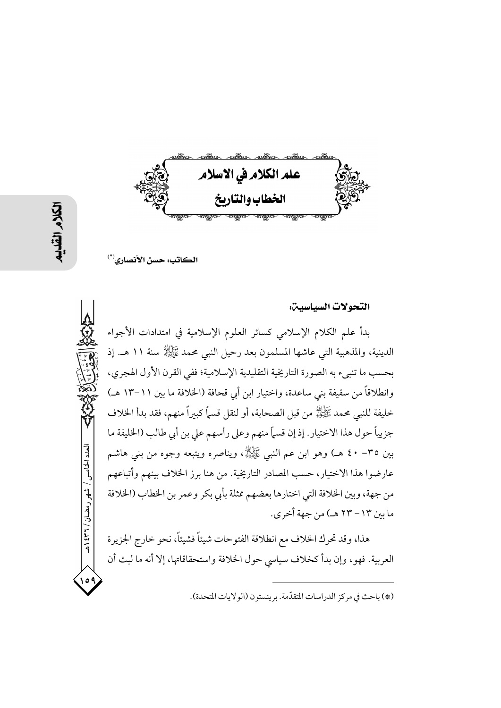

الكاتب: حسن الأنصاري<sup>(\*)</sup>

التحولات السياسين:

بدأ علم الكلام الإسلامي كسائر العلوم الإسلامية في امتدادات الأجواء الدينية، والمذهبية التي عاشها المسلمون بعد رحيل النبي محمد ﷺ سنة ١١ هـ. إذ بحسب ما تنبيء به الصورة التاريخية التقليدية الإسلامية؛ ففي القرن الأول الهجري، وانطلاقاً من سقيفة بني ساعدة، واختيار ابن أبي قحافة (الخلافة ما بين ١١–١٣ هـ) خليفة للنبي محمد ﷺ من قبل الصحابة، أو لنقل قسماً كبيراً منهم، فقد بدأ الخلاف جزيياً حول هذا الاختيار . إذ إن قسماً منهم وعلى رأسهم على بن أبي طالب (الخليفة ما بين ٣٥– ٤٠ هــ) وهو ابن عـم النبي ﷺ، ويناصره ويتبعه وجوه من بني هاشـم عارضوا هذا الاختيار، حسب المصادر التاريخية. من هنا برز الخلاف بينهم وأتباعهم من جهة، وبين الخلافة التي اختارها بعضهم ممثلة بأبي بكر وعمر بن الخطاب (الخلافة ما بين ١٣ – ٢٣ هـ) من جهة أخرى.

هذا، وقد تحرك الخلاف مع انطلاقة الفتوحات شيئاً فشيئاً، نحو خارج الجزيرة العربية. فهو، وإن بدأ كخلاف سياسي حول الخلافة واستحقاقاتها، إلا أنه ما لبث أن

(\*) باحث في مركز الدراسات المتقدّمة. برينستون (الولايات المتحدة).

العدد الخامس / شهر رمضان / ۲۳۱ ه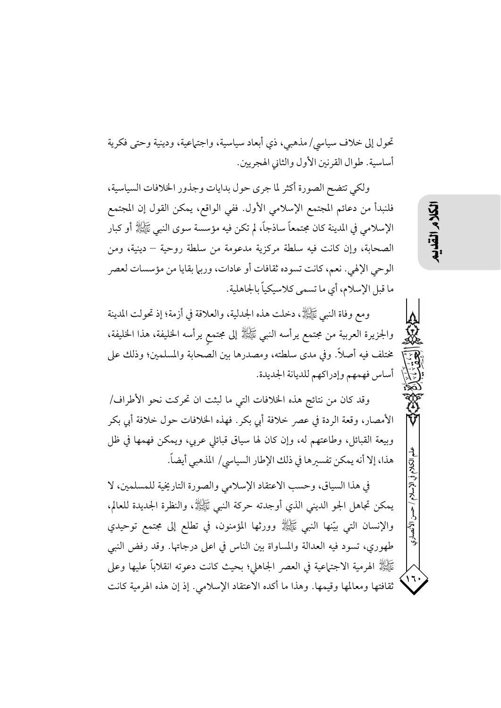تحول إلى خلاف سياسي/ مذهبي، ذي أبعاد سياسية، واجتماعية، ودينية وحتى فكرية أساسية. طوال القرنين الأول والثاني الهجريين.

ولكي تتضح الصورة أكثر لما جرى حول بدايات وجذور الخلافات السياسية، فلنبدأ من دعائم المجتمع الإسلامي الأول. ففي الواقع، يمكن القول إن المجتمع الإسلامي في المدينة كان مجتمعاً ساذجاً، لم تكن فيه مؤسسة سوى النبي ﷺ أو كبار الصحابة، وإن كانت فيه سلطة مركزية مدعومة من سلطة روحية – دينية، ومن الوحي الإلهي. نعم، كانت تسوده ثقافات أو عادات، وربها بقايا من مؤسسات لعصر ما قبل الإسلام، أي ما تسمى كلاسيكياً بالجاهلية.

ومع وفاة النبي ﷺ، دخلت هذه الجدلية، والعلاقة في أزمة؛ إذ تحولت المدينة والجزيرة العربية من مجتمع يرأسه النبي ﷺ إلى مجتمع يرأسه الحليفة، هذا الحليفة، مختلف فيه أصلاً. وفي مدى سلطته، ومصدرها بين الصحابة والمسلمين؛ وذلك على أساس فهمهم وإدراكهم للديانة الجديدة.

وقد كان من نتائج هذه الخلافات التي ما لبثت ان تحركت نحو الأطراف/ الأمصار، وقعة الردة في عصر خلافة أبي بكر . فهذه الخلافات حول خلافة أبي بكر وبيعة القبائل، وطاعتهم له، وإن كان لها سياق قبائلي عربي، ويمكن فهمها في ظل هذا، إلا أنه يمكن تفسيرها في ذلك الإطار السياسي/ المذهبي أيضاً.

في هذا السياق، وحسب الاعتقاد الإسلامي والصورة التاريخية للمسلمين، لا يمكن تجاهل الجو الديني الذي أوجدته حركة النبي ﷺ، والنظرة الجديدة للعالم، والإنسان التي بيّنها النبي ﷺ وورثها المؤمنون، في تطلع إلى مجتمع توحيدي طهوري، تسود فيه العدالة والمساواة بين الناس في اعلى درجاتها. وقد رفض النبي عَيَّالِلَّهُ الهرمية الاجتماعية في العصر الجاهلي؛ بحيث كانت دعوته انقلاباً عليها وعلى ثقافتها ومعالمها وقيمها. وهذا ما أكده الاعتقاد الإسلامي. إذ إن هذه الهرمية كانت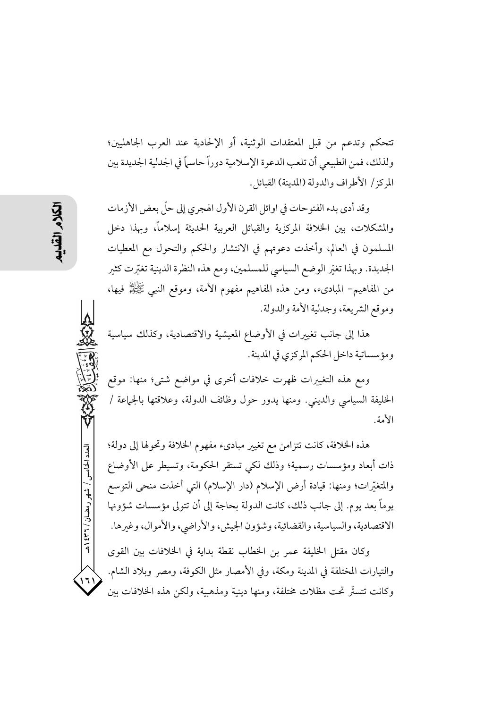تتحكم وتدعم من قبل المعتقدات الوثنية، أو الإلحادية عند العرب الجاهليين؛ ولذلك، فمن الطبيعي أن تلعب الدعوة الإسلامية دوراً حاسماً في الجدلية الجديدة بين المركز / الأطراف والدولة (المدينة) القبائل.

وقد أدى بدء الفتوحات في اوائل القرن الأول الهجري إلى حلٍّ بعض الأزمات والمشكلات، بين الخلافة المركزية والقبائل العربية الحديثة إسلاماً، وبهذا دخل المسلمون في العالم، وأخذت دعوتهم في الانتشار والحكم والتحول مع المعطيات الجديدة. وبهذا تغيّر الوضع السياسي للمسلمين، ومع هذه النظرة الدينية تغيّرت كثير من المفاهيم– المباديء، ومن هذه المفاهيم مفهوم الأمة، وموقع النبي ﷺ فيها، وموقع الشريعة، وجدلية الأمة والدولة.

هذا إلى جانب تغييرات في الأوضاع المعيشية والاقتصادية، وكذلك سياسية ومؤسساتية داخل الحكم المركزي في المدينة.

ومع هذه التغييرات ظهرت خلافات أخرى في مواضع شتى؛ منها: موقع الخليفة السياسي والديني. ومنها يدور حول وظائف الدولة، وعلاقتها بالجماعة / الأمة.

هذه الخلافة، كانت تتزامن مع تغيير مبادىء مفهوم الخلافة وتحولها إلى دولة؛ ذات أبعاد ومؤسسات رسمية؛ وذلك لكي تستقر الحكومة، وتسيطر على الأوضاع والمتغيِّرات؛ ومنها: قيادة أرض الإسلام (دار الإسلام) التي أخذت منحي التوسع يوماً بعد يوم. إلى جانب ذلك، كانت الدولة بحاجة إلى أن تتولى مؤسسات شؤونها الاقتصادية، والسياسية، والقضائية، وشؤون الجيش، والأراضي، والأموال، وغيرها.

وكان مقتل الخليفة عمر بن الخطاب نقطة بداية في الخلافات بين القوى والتيارات المختلفة في المدينة ومكة، وفي الأمصار مثل الكوفة، ومصر وبلاد الشام. وكانت تتستَّر تحت مظلات مختلفة، ومنها دينية ومذهبية، ولكن هذه الخلافات بين

العدد الخامس / شهر رمضان / ٣٦٦ هـ

۱٦۱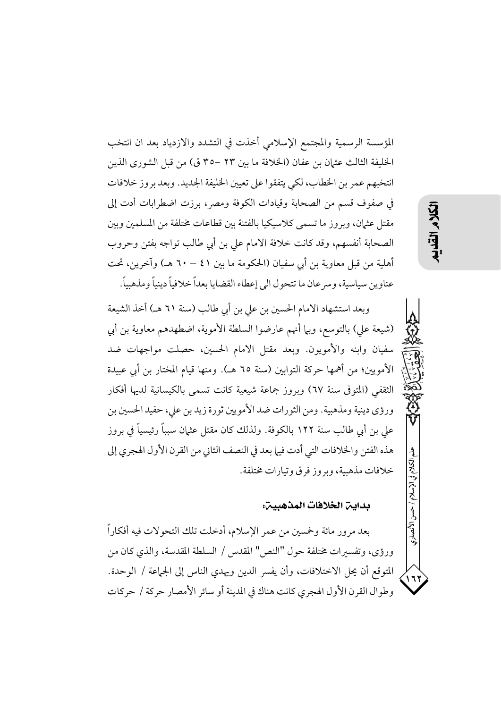المؤسسة الرسمية والمجتمع الإسلامي أخذت في التشدد والازدياد بعد ان انتخب الخليفة الثالث عثمان بن عفان (الخلافة ما بين ٢٣ –٣٥ ق) من قبل الشورى الذين انتخبهم عمر بن الخطاب، لكي يتفقوا على تعيين الخليفة الجديد. وبعد بروز خلافات في صفوف قسم من الصحابة وقيادات الكوفة ومصر، برزت اضطرابات أدت إلى مقتل عثمان، وبروز ما تسمى كلاسيكيا بالفتنة بين قطاعات مختلفة من المسلمين وبين الصحابة أنفسهم، وقد كانت خلافة الامام على بن أبي طالب تواجه بفتن وحروب أهلية من قبل معاوية بن أبي سفيان (الحكومة ما بين ٤١ – ٦٠ هـ) وآخرين، تحت عناوين سياسية، وسرعان ما تتحول الى إعطاء القضايا بعداً خلافياً دينياً ومذهبياً.

وبعد استشهاد الامام الحسين بن على بن أبي طالب (سنة ٦١ هـ) أخذ الشيعة (شيعة على) بالتوسع، وبها أنهم عارضوا السلطة الأموية، اضطهدهم معاوية بن أبي سفيان وابنه والأمويون. وبعد مقتل الامام الحسين، حصلت مواجهات ضد الأمويين؛ من أهمها حركة التوابين (سنة ٦٥ هـ). ومنها قيام المختار بن أبي عبيدة الثقفي (المتوفى سنة ٦٧) وبروز جماعة شيعية كانت تسمى بالكيسانية لديها أفكار ورؤى دينية ومذهبية. ومن الثورات ضد الأمويين ثورة زيد بن علي، حفيد الحسين بن على بن أبي طالب سنة ١٢٢ بالكوفة. ولذلك كان مقتل عثمان سبباً رئيسياً في بروز هذه الفتن والخلافات التي أدت فيها بعد في النصف الثاني من القرن الأول الهجري إلى خلافات مذهبية، ويووز فوق وتيارات مختلفة.

بداين الخلافات المذهبين:

بعد مرور مائة وخمسين من عمر الإسلام، أدخلت تلك التحولات فيه أفكاراً ورؤى، وتفسيرات مختلفة حول "النص" المقدس / السلطة المقدسة، والذي كان من المتوقع أن يحل الاختلافات، وأن يفسر الدين ويهدي الناس إلى الجماعة / الوحدة. وطوال القرن الأول الهجري كانت هناك في المدينة أو سائر الأمصار حركة / حركات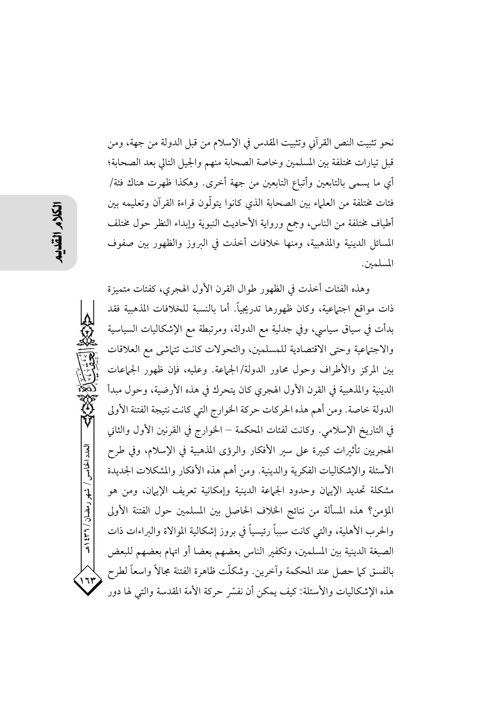العدد الخامس / شهر رمضان / ٣٦١ هـ  $175$ 

نحو تثبيت النص القرآني وتثبيت المقدس في الإسلام من قبل الدولة من جهة، ومن قبل تيارات مختلفة بين المسلمين وخاصة الصحابة منهم والجيل التالي بعد الصحابة؛ أي ما يسمى بالتابعين وأتباع التابعين من جهة أخرى. وهكذا ظهرت هناك فئة/ فئات مختلفة من العلماء بين الصحابة الذي كانوا يتولُّون قراءة القرآن وتعليمه بين أطياف مختلفة من الناس، وجمع ورواية الأحاديث النبوية وإبداء النظر حول مختلف المسائل الدينية والمذهبية، ومنها خلافات أخذت في البروز والظهور بين صفوف المسلمين. وهذه الفئات أخذت في الظهور طوال القرن الأول الهجرى، كفئات متميزة ذات مواقع اجتماعية، وكان ظهورها تدريجياً. أما بالنسبة للخلافات المذهبية فقد

بدأت في سياق سياسي، وفي جدلية مع الدولة، ومرتبطة مع الإشكاليات السياسية والاجتماعية وحتى الاقتصادية للمسلمين، والتحولات كانت تتماشى مع العلاقات بين المركز والأطراف وحول محاور الدولة/الجماعة. وعليه، فإن ظهور الجماعات الدينية والمذهبية في القرن الأول الهجري كان يتحرك في هذه الأرضية، وحول مبدأ الدولة خاصة. ومن أهم هذه الحركات حركة الخوارج التي كانت نتيجة الفتنة الأولى في التاريخ الإسلامي. وكانت لفئات المحكمة – الخوارج في القرنين الأول والثاني الهجريين تأثيرات كبيرة على سير الأفكار والرؤى المذهبية في الإسلام، وفي طرح الأسئلة والإشكاليات الفكرية والدينية. ومن أهم هذه الأفكار والمشكلات الجديدة مشكلة تحديد الإيبان وحدود الجماعة الدينية وإمكانية تعريف الإيهان، ومن هو المؤمن؟ هذه المسألة من نتائج الخلاف الحاصل بين المسلمين حول الفتنة الأولى والحرب الأهلية، والتبي كانت سبباً رئيسياً في بروز إشكالية الموالاة والبراءات ذات الصبغة الدينية بين المسلمين، وتكفير الناس بعضهم بعضا أو اتهام بعضهم للبعض بالفسق كما حصل عند المحكمة وآخرين. وشكلَّت ظاهرة الفتنة مجالاً واسعاً لطرح هذه الإشكاليات والأسئلة: كيف يمكن أن نفسَّر حركة الأمة المقدسة والتي لها دور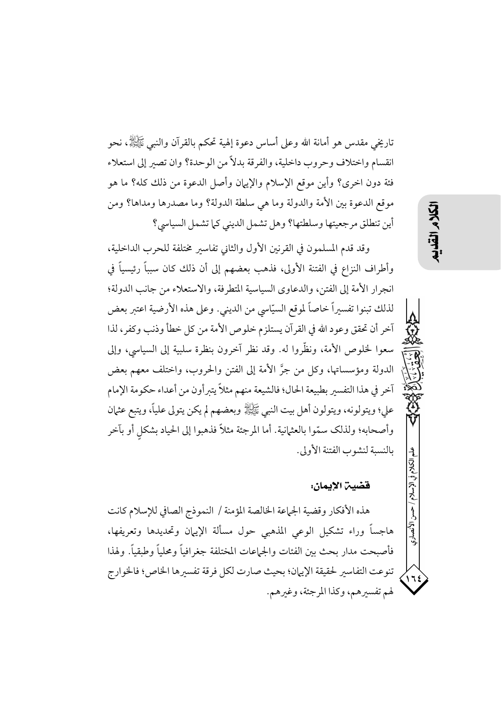تاريخي مقدس هو أمانة الله وعلى أساس دعوة إلهية تحكم بالقرآن والنبي ﷺ، نحو انقسام واختلاف وحروب داخلية، والفرقة بدلاً من الوحدة؟ وان تصير إلى استعلاء فئة دون اخرى؟ وأين موقع الإسلام والإيهان وأصل الدعوة من ذلك كله؟ ما هو موقع الدعوة بين الأمة والدولة وما هي سلطة الدولة؟ وما مصدرها ومداها؟ ومن أين تنطلق مرجعيتها وسلطتها؟ وهل تشمل الديني كما تشمل السياسي؟

وقد قدم المسلمون في القرنين الأول والثاني تفاسير مختلفة للحرب الداخلية، وأطراف النزاع في الفتنة الأولى، فذهب بعضهم إلى أن ذلك كان سبباً رئيسياً في انجرار الأمة إلى الفتن، والدعاوي السياسية المتطرفة، والاستعلاء من جانب الدولة؛ لذلك تبنوا تفسيراً خاصاً لموقع السيّاسي من الديني. وعلى هذه الأرضية اعتبر بعض آخر أن تحقق وعود الله في القرآن يستلزم خلوص الأمة من كل خطأ وذنب وكفر، لذا سعوا لخلوص الأمة، ونظَّروا له. وقد نظر آخرون بنظرة سلبية إلى السياسي، وإلى الدولة ومؤسساتها، وكل من جرَّ الأمة إلى الفتن والحروب، واختلف معهم بعض آخر في هذا التفسير بطبيعة الحال؛ فالشيعة منهم مثلاً يتبرأون من أعداء حكومة الإمام على؛ ويتولونه، ويتولون أهل بيت النبي ﷺ وبعضهم لم يكن يتولى علياً، ويتبع عثمان وأصحابه؛ ولذلك سمّوا بالعثمانية. أما المرجئة مثلاً فذهبوا إلى الحياد بشكل أو بآخر بالنسبة لنشوب الفتنة الأولى.

### قضية الإيمان:

هذه الأفكار وقضية الجماعة الخالصة المؤمنة / النموذج الصافي للإسلام كانت هاجساً وراء تشكيل الوعى المذهبي حول مسألة الإيهان وتحديدها وتعريفها، فأصبحت مدار بحث بين الفئات والجماعات المختلفة جغرافياً ومحلياً وطبقياً. ولهذا تنوعت التفاسير لحقيقة الإيهان؛ بحيث صارت لكل فرقة تفسيرها الخاص؛ فالخوارج لهم تفسيرهم، وكذا المرجئة، وغيرهم.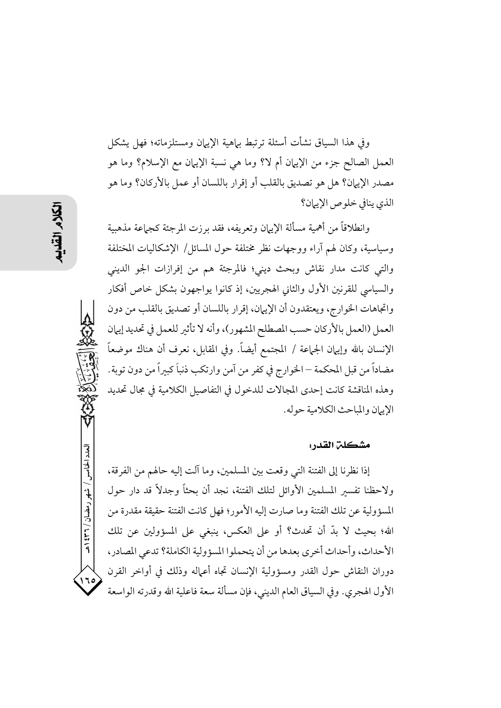وفي هذا السياق نشأت أسئلة ترتبط بياهية الإييان ومستلزماته؛ فهل يشكل العمل الصالح جزء من الإيهان أم لا؟ وما هي نسبة الإيهان مع الإسلام؟ وما هو مصدر الإيهان؟ هل هو تصديق بالقلب أو إقرار باللسان أو عمل بالأركان؟ وما هو الذي ينافى خلوص الإيهان؟

وانطلاقاً من أهمية مسألة الإيهان وتعريفه، فقد برزت المرجئة كجهاعة مذهبية وسياسية، وكان لهم آراء ووجهات نظر مختلفة حول المسائل/ الإشكاليات المختلفة والتي كانت مدار نقاش وبحث ديني؛ فالمرجئة هم من إفرازات الجو الديني والسياسي للقرنين الأول والثاني الهجريين، إذ كانوا يواجهون بشكل خاص أفكار واتجاهات الخوارج، ويعتقدون أن الإيهان، إقرار باللسان أو تصديق بالقلب من دون العمل (العمل بالأركان حسب المصطلح المشهور)، وأنه لا تأثير للعمل في تحديد إيهان الإنسان بالله وإيهان الجماعة / المجتمع أيضاً. وفي المقابل، نعرف أن هناك موضعاً مضاداً من قبل المحكمة – الخوارج في كفر من آمن وارتكب ذنباً كبيراً من دون توبة. وهذه المناقشة كانت إحدى المجالات للدخول في التفاصيل الكلامية في مجال تحديد الإيران والمباحث الكلامية حوله.

### مشكلن القدر :

إذا نظرنا إلى الفتنة التي وقعت بين المسلمين، وما آلت إليه حالهم من الفرقة، ولاحظنا تفسىر المسلمين الأوائل لتلك الفتنة، نجد أن بحثاً وجدلاً قد دار حول المسؤولية عن تلك الفتنة وما صارت إليه الأمور؛ فهل كانت الفتنة حقيقة مقدرة من الله؛ بحيث لا بدِّ أن تحدث؟ أو على العكس، ينبغي على المسؤولين عن تلك الأحداث، وأحداث أخرى بعدها من أن يتحملوا المسؤولية الكاملة؟ تدعى المصادر، دوران النقاش حول القدر ومسؤولية الإنسان تجاه أعماله وذلك في أواخر القرن الأول الهجري. وفي السياق العام الديني، فإن مسألة سعة فاعلية الله وقدرته الواسعة

العدد الخامس / شهر رمضان / ۲۳۱ ه

 $\sqrt{1}$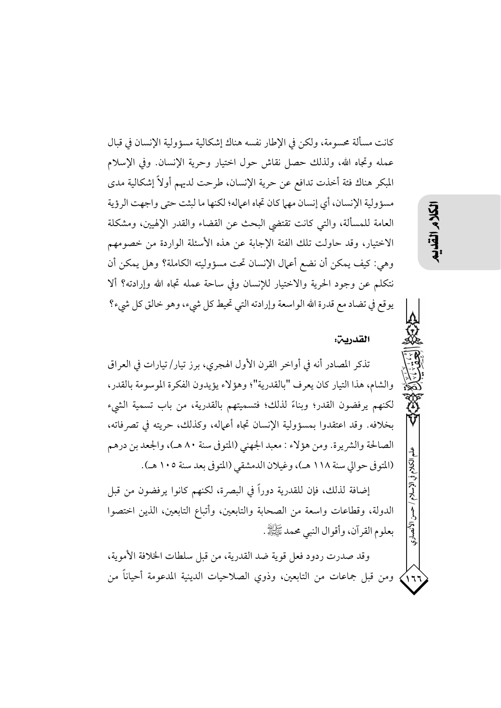كانت مسألة محسومة، ولكن في الإطار نفسه هناك إشكالية مسؤولية الإنسان في قبال عمله وتجاه الله، ولذلك حصل نقاش حول اختيار وحرية الإنسان. وفي الإسلام المبكر هناك فئة أخذت تدافع عن حرية الإنسان، طرحت لديهم أولاً إشكالية مدى مسؤولية الإنسان، أي إنسان مهي كان تجاه اعماله؛ لكنها ما لبثت حتى واجهت الرؤية العامة للمسألة، والتي كانت تقتضي البحث عن القضاء والقدر الإلهيين، ومشكلة الاختيار، وقد حاولت تلك الفئة الإجابة عن هذه الأسئلة الواردة من خصومهم وهي: كيف يمكن أن نضع أعمال الإنسان تحت مسؤوليته الكاملة؟ وهل يمكن أن نتكلم عن وجود الحرية والاختيار للإنسان وفي ساحة عمله تجاه الله وإرادته؟ ألا يوقع في تضاد مع قدرة الله الواسعة وإرادته التي تحيط كل شيء، وهو خالق كل شيء؟

### القدرين:

تذكر المصادر أنه في أواخر القرن الأول الهجري، برز تيار/تيارات في العراق والشام، هذا التيار كان يعرف "بالقدرية"؛ وهؤلاء يؤيدون الفكرة الموسومة بالقدر، لكنهم يرفضون القدر؛ وبناءً لذلك؛ فتسميتهم بالقدرية، من باب تسمية الشيء بخلافه. وقد اعتقدوا بمسؤولية الإنسان تجاه أعماله، وكذلك، حريته في تصرفاته، الصالحة والشريرة. ومن هؤلاء : معبد الجهني (المتوفى سنة ٨٠ هـ)، والجعد بن درهم (المتوفى حوالي سنة ١١٨ هـ)، وغيلان الدمشقى (المتوفى بعد سنة ١٠٥ هـ).

إضافة لذلك، فإن للقدرية دوراً في البصرة، لكنهم كانوا يرفضون من قبل الدولة، وقطاعات واسعة من الصحابة والتابعين، وأتباع التابعين، الذين اختصوا بعلوم القرآن، وأقوال النبي محمد ﷺ.

وقد صدرت ردود فعل قوية ضد القدرية، من قبل سلطات الخلافة الأموية، ومن قبل جماعات من التابعين، وذوي الصلاحيات الدينية المدعومة أحياناً من くい

الأنصارى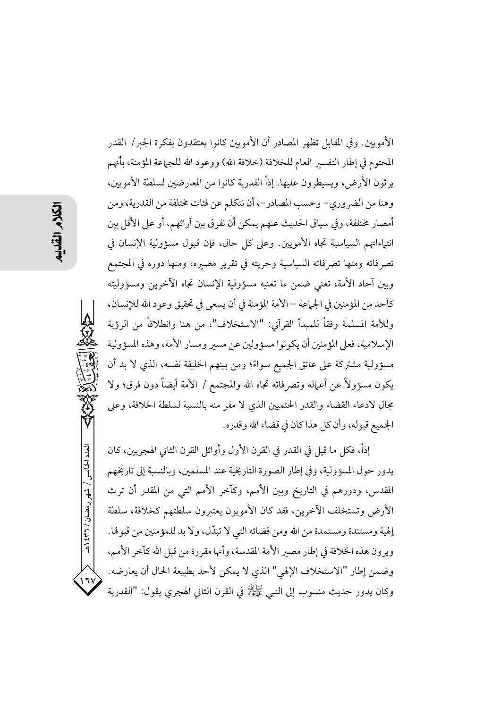العدد الخامس / شهر رمضان / ٣٦٦ هـ ۱٦۱

الأمويين. وفي المقابل تظهر المصادر أن الأمويين كانوا يعتقدون بفكرة الجير/ القدر المحتوم في إطار التفسير العام للخلافة (خلافة الله) ووعود الله للجماعة المؤمنة، بأنهم يرثون الأرض، ويسيطرون عليها. إذاً القدرية كانوا من المعارضين لسلطة الأمويين، وهنا من الضر وري– وحسب المصادر–، أن نتكلم عن فئات مختلفة من القدرية، ومن أمصار مختلفة، وفي سياق الحديث عنهم يمكن أن نفرق بين آرائهم، أو على الأقل بين انتياءاتهم السياسية تجاه الأمويين. وعلى كلِّ حال، فإن قبول مسؤولية الإنسان في تصرفاته ومنها تصرفاته السياسية وحريته في تقرير مصبره، ومنها دوره في المجتمع وبين آحاد الأمة، تعني ضمن ما تعنيه مسؤولية الإنسان تجاه الآخرين ومسؤوليته كأحد من المؤمنين في الجماعة —الأمة المؤمنة في أن يسعى في تحقيق وعود الله للإنسان، وللأمة المسلمة وفقاً للمبدأ القرآني: "الاستخلاف"، من هنا وانطلاقاً من الرؤية الإسلامية، فعلى المؤمنين أن يكونوا مسؤولين عن مسير ومسار الأمة، وهذه المسؤولية مسؤولية مشتركة على عاتق الجميع سواءً؛ ومن بينهم الخليفة نفسه، الذي لا بد أن يكون مسؤولاً عن أعماله وتصرفاته تجاه الله والمجتمع / الأمة أيضاً دون فرق؛ ولا مجال لادعاء القضاء والقدر الحتميين الذي لا مفرٍ منه بالنسبة لسلطة الخلافة، وعلى الجميع قبوله، وأن كل هذا كان في قضاء الله وقدره.

إذاً، فكل ما قيل في القدر في القرن الأول وأوائل القرن الثاني الهجريين، كان يدور حول المسؤولية، وفي إطار الصورة التاريخية عند المسلمين، وبالنسبة إلى تاريخهم المقدس، ودورهم في التاريخ وبين الأمم، وكآخر الأمم التي من المقدر أن ترث الأرض وتستخلف الآخرين، فقد كان الأمويون يعتىرون سلطتهم كخلافة، سلطة إلهية ومستندة ومستمدة من الله ومن قضائه التي لا تبدّل، ولا بد للمؤمنين من قبولها. ويرون هذه الخلافة في إطار مصبر الأمة المقدسة، وأنها مقررة من قبل الله كآخر الأمم، وضمن إطار "الاستخلاف الإلهي" الذي لا يمكن لأحد بطبيعة الحال أن يعارضه. وكان يدور حديث منسوب إلى النبي ﷺ في القرن الثاني الهجري يقول: "القدرية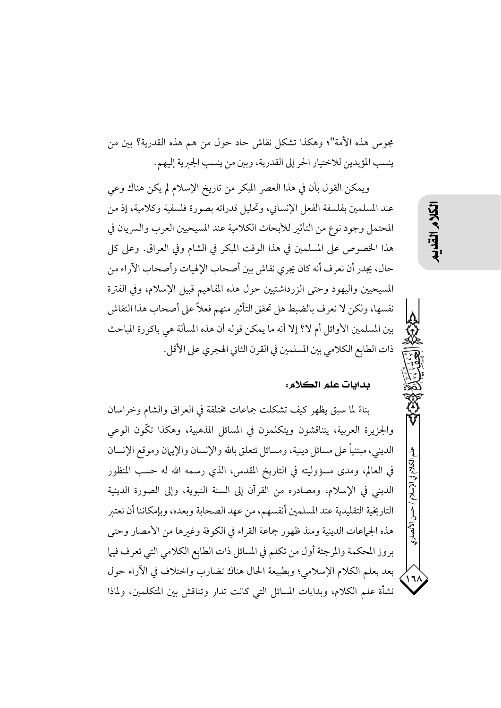مجوس هذه الأمة"؛ وهكذا تشكل نقاش حاد حول من هم هذه القدرية؟ بين من ينسب المؤيدين للاختيار الحر إلى القدرية، وبين من ينسب الجبرية إليهم.

ويمكن القول بأن في هذا العصر المبكر من تاريخ الإسلام لم يكن هناك وعي عند المسلمين بفلسفة الفعل الإنساني، وتحليل قدراته بصورة فلسفية وكلامية، إذ من المحتمل وجود نوع من التأثير للأبحاث الكلامية عند المسيحيين العرب والسريان في هذا الخصوص على المسلمين في هذا الوقت المبكر في الشام وفي العراق. وعلى كل حال، يجدر أن نعرف أنه كان يجرى نقاش بين أصحاب الإلهيات وأصحاب الآراء من المسيحيين واليهود وحتى الزرداشتيين حول هذه المفاهيم قبيل الإسلام، وفي الفترة نفسها، ولكن لا نعرف بالضبط هل تحقق التأثير منهم فعلاً على أصحاب هذا النقاش بين المسلمين الأوائل أم لا؟ إلا أنه ما يمكن قوله أن هذه المسألة هي باكورة المباحث ذات الطابع الكلامي بين المسلمين في القرن الثاني الهجري على الأقل.

### بدايات علم الكلام:

بناءً لما سبق يظهر كيف تشكلت جماعات مختلفة في العراق والشام وخراسان والجزيرة العربية، يتناقشون ويتكلمون في المسائل المذهبية، وهكذا تكُّون الوعي الديني، مبتنياً على مسائل دينية، ومسائل تتعلق بالله والإنسان والإيبان وموقع الإنسان في العالم، ومدى مسؤوليته في التاريخ المقدس، الذي رسمه الله له حسب المنظور الديني في الإسلام، ومصادره من القرآن إلى السنة النبوية، وإلى الصورة الدينية التاريخية التقليدية عند المسلمين أنفسهم، من عهد الصحابة وبعده، وبإمكاننا أن نعتبر هذه الجماعات الدينية ومنذ ظهور جماعة القراء في الكوفة وغيرها من الأمصار وحتى بروز المحكمة والمرجئة أول من تكلم في المسائل ذات الطابع الكلامي التي تعرف فيها بعد بعلم الكلام الإسلامي؛ وبطبيعة الحال هناك تضارب واختلاف في الأراء حول نشأة علم الكلام، وبدايات المسائل التي كانت تدار وتناقش بين المتكلمين، ولماذا

الأنصارى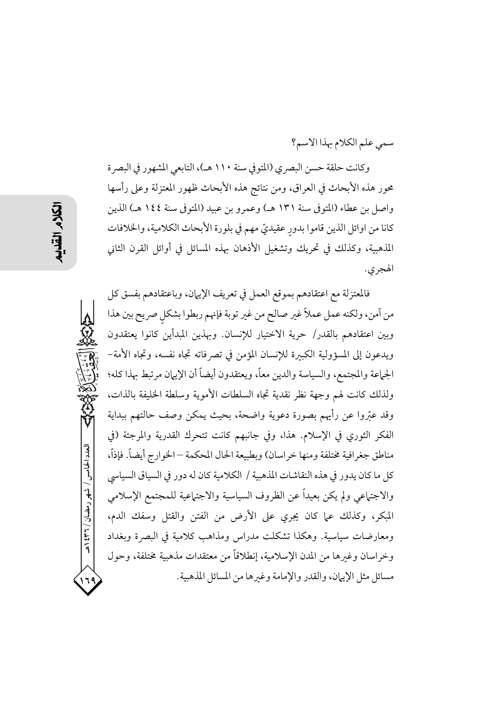سمى علم الكلام بهذا الاسم؟

وكانت حلقة حسن البصري (المتوفي سنة ١١٠ هـ)، التابعي المشهور في البصرة محور هذه الأبحاث في العراق، ومن نتائج هذه الأبحاث ظهور المعتزلة وعلى رأسها واصل بن عطاء (المتوفى سنة ١٣١ هـ) وعمرو بن عبيد (المتوفى سنة ١٤٤ هـ) الذين كانا من اوائل الذين قاموا بدورٍ عقيديٍّ مهم في بلورة الأبحاث الكلامية، والخلافات المذهبية، وكذلك في تحريك وتشغيل الأذهان بهذه المسائل في أوائل القرن الثاني الهجري.

فالمعتزلة مع اعتقادهم بموقع العمل في تعريف الإيهان، وباعتقادهم بفسق كل من آمن، ولكنه عمل عملاً غير صالح من غير توبة فإنهم ربطوا بشكلٍ صريح بين هذا وبين اعتقادهم بالقدر/ حرية الاختيار للإنسان. وبهذين المبدأين كانوا يعتقدون ويدعون إلى المسؤولية الكبيرة للإنسان المؤمن في تصرفاته تجاه نفسه، وتجاه الأمة– الجماعة والمجتمع، والسياسة والدين معاً، ويعتقدون أيضاً أن الإيهان مرتبط بهذا كله؛ ولذلك كانت لهم وجهة نظر نقدية تجاه السلطات الأموية وسلطة الخليفة بالذات، وقد عتروا عن رأيهم بصورة دعوية واضحة، بحيث يمكن وصف حالتهم ببداية الفكر الثوري في الإسلام. هذا، وفي جانبهم كانت تتحرك القدرية والمرجئة (في مناطق جغرافية مختلفة ومنها خراسان) وبطبيعة الحال المحكمة –الخوارج أيضاً. فإذاً، كل ما كان يدور في هذه النقاشات المذهبية / الكلامية كان له دور في السياق السياسي والاجتهاعي ولم يكن بعيداً عن الظروف السياسية والاجتهاعية للمجتمع الإسلامي المبكر، وكذلك على كان يجرى على الأرض من الفتن والقتل وسفك الدم، ومعارضات سياسية. وهكذا تشكلت مدراس ومذاهب كلامية في البصرة وبغداد وخراسان وغبرها من المدن الإسلامية، إنطلاقاً من معتقدات مذهبية مختلفة، وحول مسائل مثل الإيهان، والقدر والإمامة وغيرها من المسائل المذهبية.

العدد الخامس / شهر رمضان / ۲۳۱ ه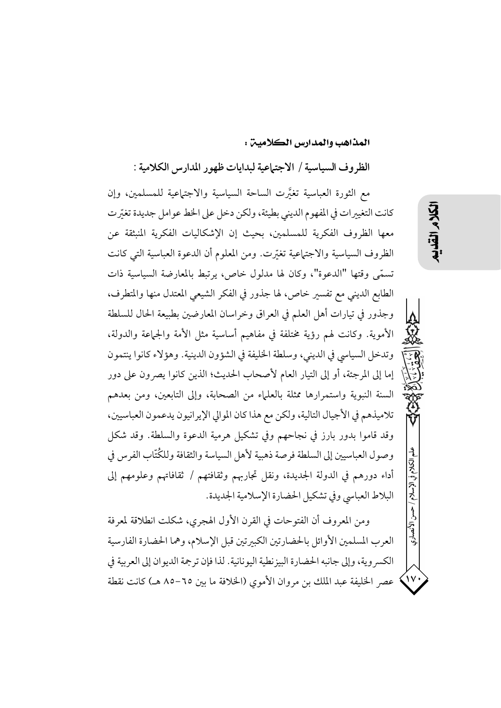المذاهب والمدارس الكلامين :

الظروف السياسية / الاجتهاعية لبدايات ظهور المدارس الكلامية :

مع الثورة العباسية تغيَّرت الساحة السياسية والاجتماعية للمسلمين، وإن كانت التغييرات في المفهوم الديني بطيئة، ولكن دخل على الخط عوامل جديدة تغيِّرت معها الظروف الفكرية للمسلمين، بحيث إن الإشكاليات الفكرية المنبثقة عن الظروف السياسية والاجتهاعية تغيّرت. ومن المعلوم أن الدعوة العباسية التبي كانت تسمَّى وقتها "الدعوة"، وكان لها مدلول خاص، يرتبط بالمعارضة السياسية ذات الطابع الديني مع تفسير خاص، لها جذور في الفكر الشيعي المعتدل منها والمتطرف، وجذور في تيارات أهل العلم في العراق وخراسان المعارضين بطبيعة الحال للسلطة الأموية. وكانت لهم رؤية مختلفة في مفاهيم أساسية مثل الأمة والجماعة والدولة، وتدخل السياسي في الديني، وسلطة الخليفة في الشؤون الدينية. وهؤلاء كانوا ينتمون إما إلى المرجئة، أو إلى التيار العام لأصحاب الحديث؛ الذين كانوا يصرون على دور السنة النبوية واستمرارها ممثلة بالعلماء من الصحابة، وإلى التابعين، ومن بعدهم تلاميذهم في الأجيال التالية، ولكن مع هذا كان الموالي الإيرانيون يدعمون العباسيين، وقد قاموا بدور بارز في نجاحهم وفي تشكيل هرمية الدعوة والسلطة. وقد شكل وصول العباسيين إلى السلطة فرصة ذهبية لأهل السياسة والثقافة وللكُتَّاب الفرس في أداء دورهم في الدولة الجديدة، ونقل تجاربهم وثقافتهم / ثقافاتهم وعلومهم إلى البلاط العباسي وفي تشكيل الحضارة الإسلامية الجديدة.

ومن المعروف أن الفتوحات في القرن الأول الهجري، شكلت انطلاقة لمعرفة العرب المسلمين الأوائل بالحضارتين الكبيرتين قبل الإسلام، وهما الحضارة الفارسية الكسر وية، وإلى جانبه الحضارة البيز نطية اليونانية. لذا فإن ترجمة الديو ان إلى العربية في عصر الخليفة عبد الملك بن مروان الأموى (الخلافة ما بين ٦٥–٨٥ هـ) كانت نقطة الإسلام

 $\sum$ 

۱۰ آلانصاري

くい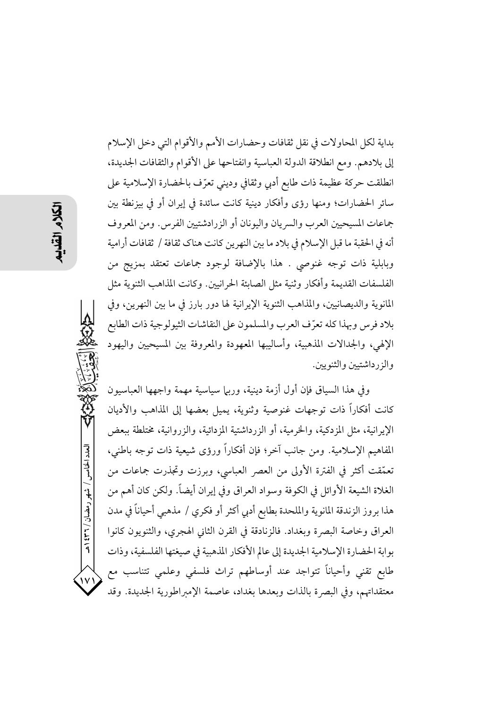بداية لكل المحاولات في نقل ثقافات وحضارات الأمم والأقوام التي دخل الإسلام إلى بلادهم. ومع انطلاقة الدولة العباسية وانفتاحها على الأقوام والثقافات الجديدة، انطلقت حركة عظيمة ذات طابع أدبى وثقافي وديني تعرّف بالحضارة الإسلامية على سائر الحضارات؛ ومنها رؤى وأفكار دينية كانت سائدة في إيران أو في بيزنطة بين جماعات المسيحيين العرب والسريان واليونان أو الزرادشتيين الفرس. ومن المعروف أنه في الحقبة ما قبل الإسلام في بلاد ما بين النهرين كانت هناك ثقافة / ثقافات أرامية وبابلية ذات توجه غنوصي . هذا بالإضافة لوجود جماعات تعتقد بمزيج من الفلسفات القديمة وأفكار وثنية مثل الصابئة الحرانيين. وكانت المذاهب الثنوية مثل المانوية والديصانيين، والمذاهب الثنوية الإيرانية لها دور بارز في ما بين النهرين، وفي بلاد فرس وبهذا كله تعرّف العرب والمسلمون على النقاشات الثيولوجية ذات الطابع الإلهي، والجدالات المذهبية، وأساليبها المعهودة والمعروفة بين المسيحيين واليهود والزرداشتيين والثنويين.

وفي هذا السياق فإن أول أزمة دينية، وربيا سياسية مهمة واجهها العباسيون كانت أفكاراً ذات توجهات غنوصية وثنوية، يميل بعضها إلى المذاهب والأديان الإيرانية، مثل المزدكية، والخرمية، أو الزرداشتية المزدائية، والزروانية، مختلطة ببعض المفاهيم الإسلامية. ومن جانب آخر؛ فإن أفكاراً ورؤى شيعية ذات توجه باطني، تعمَّقت أكثر في الفترة الأولى من العصر العباسي، وبرزت وتجذرت جماعات من الغلاة الشيعة الأوائل في الكوفة وسواد العراق وفي إيران أيضاً. ولكن كان أهم من هذا بروز الزندقة المانوية والملحدة بطابع أدبي أكثر أو فكري / مذهبي أحياناً في مدن العراق وخاصة البصرة وبغداد. فالزنادقة في القرن الثاني الهجري، والثنويون كانوا بوابة الحضارة الإسلامية الجديدة إلى عالم الأفكار المذهبية في صيغتها الفلسفية، وذات طابع تقني وأحياناً تتواجد عند أوساطهم تراث فلسفي وعلمي تتناسب مع معتقداتهم، وفي البصرة بالذات وبعدها بغداد، عاصمة الإمبراطورية الجديدة. وقد

العدد الخامس / شهر رمضان / ٣٦٦ هـ

۱۷۱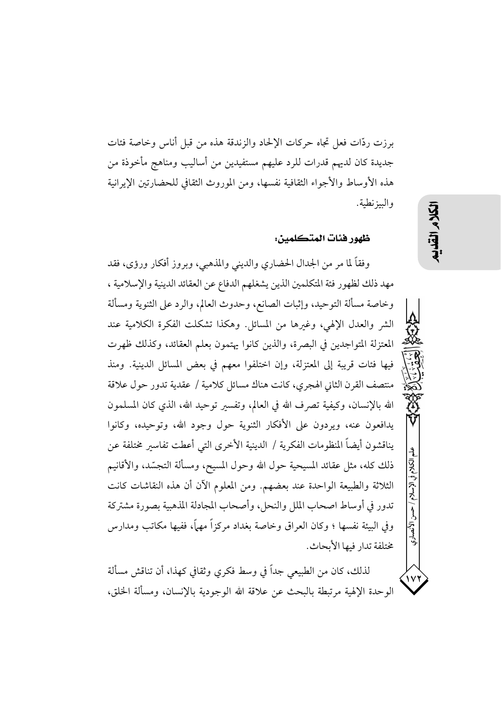برزت ردَّات فعل تجاه حركات الإلحاد والزندقة هذه من قبل أناس وخاصة فئات جديدة كان لديهم قدرات للرد عليهم مستفيدين من أساليب ومناهج مأخوذة من هذه الأوساط والأجواء الثقافية نفسها، ومن الموروث الثقافي للحضارتين الإيرانية والبيز نطية.

### ظهور فئات المتكلمين:

وفقاً لما مر من الجدال الحضاري والديني والمذهبي، وبروز أفكار ورؤى، فقد مهد ذلك لظهور فئة المتكلمين الذين يشغلهم الدفاع عن العقائد الدينية والإسلامية ، وخاصة مسألة التوحيد، وإثبات الصانع، وحدوث العالم، والرد على الثنوية ومسألة الشر والعدل الإلهي، وغيرها من المسائل. وهكذا تشكلت الفكرة الكلامية عند المعتزلة المتواجدين في البصرة، والذين كانوا يهتمون بعلم العقائد، وكذلك ظهرت فيها فئات قريبة إلى المعتزلة، وإن اختلفوا معهم في بعض المسائل الدينية. ومنذ منتصف القرن الثاني الهجري، كانت هناك مسائل كلامية / عقدية تدور حول علاقة الله بالإنسان، وكيفية تصرف الله في العالم، وتفسير توحيد الله، الذي كان المسلمون يدافعون عنه، ويردون على الأفكار الثنوية حول وجود الله، وتوحيده، وكانوا يناقشون أيضاً المنظومات الفكرية / الدينية الأخرى التي أعطت تفاسير مختلفة عن ذلك كله، مثل عقائد المسيحية حول الله وحول المسيح، ومسألة التجسّد، والأقانيم الثلاثة والطبيعة الواحدة عند بعضهم. ومن المعلوم الآن أن هذه النقاشات كانت تدور في أوساط اصحاب الملل والنحل، وأصحاب المجادلة المذهبية بصورة مشتركة وفي البيئة نفسها ؛ وكان العراق وخاصة بغداد مركزاً مهماً، ففيها مكاتب ومدارس مختلفة تدار فيها الأبحاث.

لذلك، كان من الطبيعي جداً في وسط فكرى وثقافي كهذا، أن تناقش مسألة الوحدة الإلهية مرتبطة بالبحث عن علاقة الله الوجودية بالإنسان، ومسألة الخلق،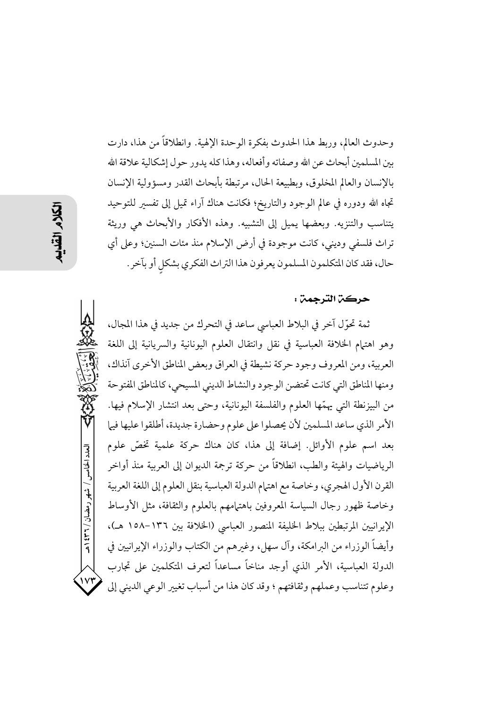وحدوث العالم، وربط هذا الحدوث بفكرة الوحدة الإلهية. وانطلاقاً من هذا، دارت بين المسلمين أبحاث عن الله وصفاته وأفعاله، وهذا كله يدور حول إشكالية علاقة الله بالإنسان والعالم المخلوق، وبطبيعة الحال، مرتبطة بأبحاث القدر ومسؤولية الإنسان تجاه الله ودوره في عالم الوجود والتاريخ؛ فكانت هناك آراء تميل إلى تفسير للتوحيد يتناسب والتنزيه. وبعضها يميل إلى التشبيه. وهذه الأفكار والأبحاث هي وريثة تراث فلسفي وديني، كانت موجودة في أرض الإسلام منذ مئات السنين؛ وعلى أي حال، فقد كان المتكلمون المسلمون يعرفون هذا التراث الفكري بشكل أو بآخر .

### حركة الترجمة :

ثمة تحوّل آخر في البلاط العباسي ساعد في التحرك من جديد في هذا المجال، وهو اهتمام الخلافة العباسية في نقل وانتقال العلوم اليونانية والسريانية إلى اللغة العربية، ومن المعروف وجود حركة نشيطة في العراق وبعض المناطق الأخرى آنذاك، ومنها المناطق التي كانت تحتضن الوجود والنشاط الديني المسيحي، كالمناطق المفتوحة من البيزنطة التي يهمّها العلوم والفلسفة اليونانية، وحتى بعد انتشار الإسلام فيها. الأمر الذي ساعد المسلمين لأن يحصلوا على علوم وحضارة جديدة، أطلقوا عليها فيها بعد اسم علوم الأوائل. إضافة إلى هذا، كان هناك حركة علمية تخصَّ علوم الرياضيات والهيئة والطب، انطلاقاً من حركة ترجمة الديوان إلى العربية منذ أواخر القرن الأول الهجري، وخاصة مع اهتمام الدولة العباسية بنقل العلوم إلى اللغة العربية وخاصة ظهور رجال السياسة المعروفين باهتهامهم بالعلوم والثقافة، مثل الأوساط الإيرانيين المرتبطين ببلاط الخليفة المنصور العباسي (الخلافة بين ١٣٦-١٥٨ هـ)، وأيضاً الوزراء من الىرامكة، وآل سهل، وغبرهم من الكتاب والوزراء الإيرانيين في الدولة العباسية، الأمر الذي أوجد مناخاً مساعداً لتعرف المتكلمين على تجارب وعلوم تتناسب وعملهم وثقافتهم ؛ وقد كان هذا من أسباب تغيير الوعي الديني إلى

العدد الخامس / شهر رمضان / ۲۳۱ ه

 $\mathsf{V} \mathsf{Y}$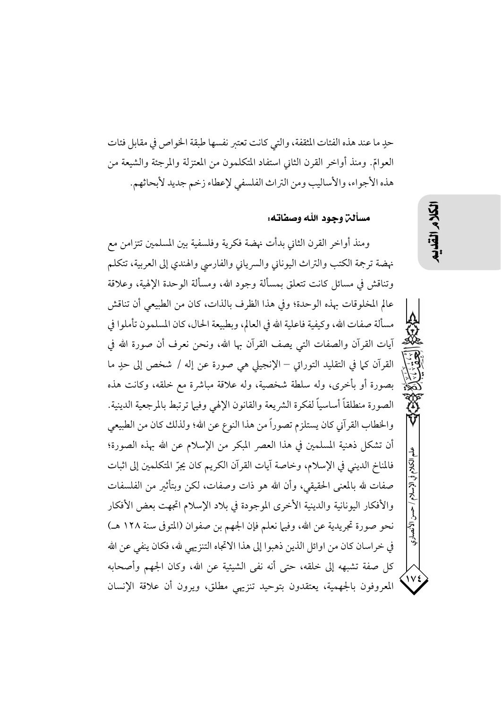حدِ ما عند هذه الفئات المثقفة، والتي كانت تعتبر نفسها طبقة الخو اص في مقابل فئات العوامّ. ومنذ أواخر القرن الثاني استفاد المتكلمون من المعتزلة والمرجئة والشيعة من هذه الأجواء، والأساليب ومن التراث الفلسفي لإعطاء زخم جديد لأبحاثهم.

مسألن وحود اللّه وصفاته:

ومنذ أواخر القرن الثاني بدأت نهضة فكرية وفلسفية بين المسلمين تتزامن مع نهضة ترجمة الكتب والتراث اليوناني والسرياني والفارسي والهندي إلى العربية، تتكلم وتناقش في مسائل كانت تتعلق بمسألة وجود الله، ومسألة الوحدة الإلهية، وعلاقة عالم المخلوقات بهذه الوحدة؛ وفي هذا الظرف بالذات، كان من الطبيعي أن تناقش مسألة صفات الله، وكيفية فاعلية الله في العالم، وبطبيعة الحال، كان المسلمون تأملوا في آيات القرآن والصفات التي يصف القرآن بها الله، ونحن نعرف أن صورة الله في القرآن كما في التقليد التوراق – الإنجيلي هي صورة عن إله / شخص إلى حدٍ ما بصورة أو بأخرى، وله سلطة شخصية، وله علاقة مباشرة مع خلقه، وكانت هذه الصورة منطلقاً أساسياً لفكرة الشريعة والقانون الإلهي وفيها ترتبط بالمرجعية الدينية. والخطاب القرآني كان يستلزم تصوراً من هذا النوع عن الله؛ ولذلك كان من الطبيعي أن تشكل ذهنية المسلمين في هذا العصر المبكر من الإسلام عن الله بهذه الصورة؛ فالمناخ الديني في الإسلام، وخاصة آيات القرآن الكريم كان يجرّ المتكلمين إلى اثبات صفات لله بالمعنى الحقيقي، وأن الله هو ذات وصفات، لكن وبتأثير من الفلسفات والأفكار اليونانية والدينية الأخرى الموجودة في بلاد الإسلام اتجهت بعض الأفكار نحو صورة تجريدية عن الله، وفيها نعلم فإن الجهم بن صفوان (المتوفى سنة ١٢٨ هـ) في خراسان كان من اوائل الذين ذهبوا إلى هذا الاتجاه التنزيهي لله، فكان ينفي عن الله كل صفة تشبهه إلى خلقه، حتى أنه نفى الشيئية عن الله، وكان الجهم وأصحابه المعروفون بالجهمية، يعتقدون بتوحيد تنزيهي مطلق، ويرون أن علاقة الإنسان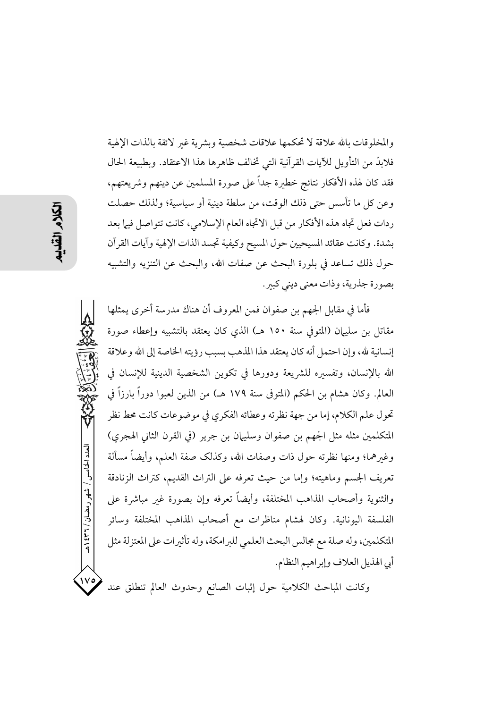والمخلوقات بالله علاقة لا تحكمها علاقات شخصية وبشرية غىر لائقة بالذات الإلهية فلابدَّ من التأويل للآيات القرآنية التي تخالف ظاهرها هذا الاعتقاد. وبطبيعة الحال فقد كان لهذه الأفكار نتائج خطيرة جداً على صورة المسلمين عن دينهم وشريعتهم، وعن كل ما تأسس حتى ذلك الوقت، من سلطة دينية أو سياسية؛ ولذلك حصلت ردات فعل تجاه هذه الأفكار من قبل الاتجاه العام الإسلامي، كانت تتواصل فيها بعد بشدة. وكانت عقائد المسيحيين حول المسيح وكيفية تجسد الذات الإلهية وآيات القرآن حول ذلك تساعد في بلورة البحث عن صفات الله، والبحث عن التنزيه والتشبيه بصورة جذرية، وذات معنى ديني كبير.

فأما في مقابل الجهم بن صفوان فمن المعروف أن هناك مدرسة أخرى يمثلها مقاتل بن سليهان (المتوفى سنة ١٥٠ هـ) الذي كان يعتقد بالتشبيه وإعطاء صورة إنسانية لله، وإن احتمل أنه كان يعتقد هذا المذهب بسبب رؤيته الخاصة إلى الله وعلاقة الله بالإنسان، وتفسيره للشريعة ودورها في تكوين الشخصية الدينية للإنسان في العالم. وكان هشام بن الحكم (المتوفى سنة ١٧٩ هـ) من الذين لعبوا دوراً بارزاً في تحول علم الكلام، إما من جهة نظرته وعطائه الفكري في موضوعات كانت محط نظر المتكلمين مثله مثل الجهم بن صفوان وسليهان بن جرير (في القرن الثاني الهجري) وغىرهما؛ ومنها نظرته حول ذات وصفات الله، وكذلك صفة العلم، وأيضاً مسألة تعريف الجسم وماهيته؛ وإما من حيث تعرفه على التراث القديم، كتراث الزنادقة والثنوية وأصحاب المذاهب المختلفة، وأيضاً تعرفه وإن بصورة غير مباشرة على الفلسفة اليونانية. وكان لهشام مناظرات مع أصحاب المذاهب المختلفة وسائر المتكلمين، وله صلة مع مجالس البحث العلمي للبرامكة، وله تأثيرات على المعتزلة مثل أبي الهذيل العلاف وإبراهيم النظام.

وكانت المباحث الكلامية حول إثبات الصانع وحدوث العالم تنطلق عند

العدد الخامس / شهر رمضان / ۲۳۱ هـ

 $\sqrt{v}$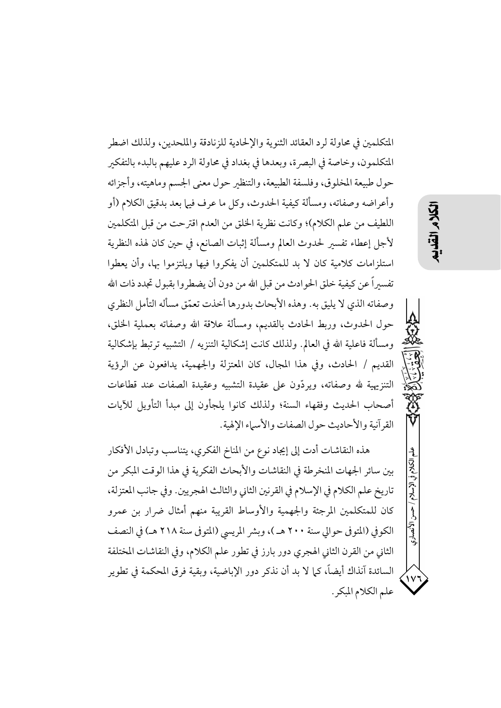المتكلمين في محاولة لرد العقائد الثنوية والإلحادية للزنادقة والملحدين، ولذلك اضطر المتكلمون، وخاصة في البصرة، وبعدها في بغداد في محاولة الرد عليهم بالبدء بالتفكير حول طبيعة المخلوق، وفلسفة الطبيعة، والتنظير حول معنى الجسم وماهيته، وأجزائه وأعراضه وصفاته، ومسألة كيفية الحدوث، وكلِّ ما عرف فيها بعد بدقيق الكلام (أو اللطيف من علم الكلام)؛ وكانت نظرية الخلق من العدم اقترحت من قبل المتكلمين لأجل إعطاء تفسىر لحدوث العالم ومسألة إثبات الصانع، في حين كان لهذه النظرية استلزامات كلامية كان لا بد للمتكلمين أن يفكروا فيها ويلتزموا بها، وأن يعطوا تفسيراً عن كيفية خلق الحوادث من قبل الله من دون أن يضطروا بقبول تجدد ذات الله وصفاته الذي لا يليق به. وهذه الأبحاث بدورها أخذت تعمّق مسأله التأمل النظري حول الحدوث، وربط الحادث بالقديم، ومسألة علاقة الله وصفاته بعملية الخلق، ومسألة فاعلية الله في العالم. ولذلك كانت إشكالية التنزيه / التشبيه ترتبط بإشكالية القديم / الحادث، وفي هذا المجال، كان المعتزلة والجهمية، يدافعون عن الرؤية التنزيهية لله وصفاته، ويردُّون على عقيدة التشبيه وعقيدة الصفات عند قطاعات أصحاب الحديث وفقهاء السنة؛ ولذلك كانوا يلجأون إلى مبدأ التأويل للآيات القرآنية والأحاديث حول الصفات والأسياء الإلهية.

هذه النقاشات أدت إلى إيجاد نوع من المناخ الفكري، يتناسب وتبادل الأفكار بين سائر الجهات المنخرطة في النقاشات والأبحاث الفكرية في هذا الوقت المبكر من تاريخ علم الكلام في الإسلام في القرنين الثاني والثالث الهجريين. وفي جانب المعتزلة، كان للمتكلمين المرجئة والجهمية والأوساط القريبة منهم أمثال ضرار بن عمرو الكوفي (المتوفى حوالي سنة ٢٠٠ هـ )، وبشر المريسي (المتوفى سنة ٢١٨ هـ) في النصف الثاني من القرن الثاني الهجري دور بارز في تطور علم الكلام، وفي النقاشات المختلفة السائدة آنذاك أيضاً، كما لا بد أن نذكر دور الإباضية، وبقية فرق المحكمة في تطوير علم الكلام المبكر.

الكلام فى الإسلام

الأنصارى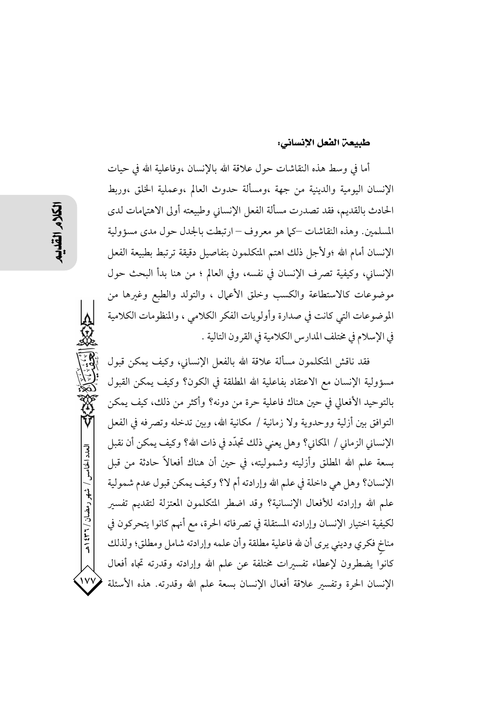### طبيعة الفعل الإنساني:

أما في وسط هذه النقاشات حول علاقة الله بالإنسان ،وفاعلية الله في حيات الإنسان اليومية والدينية من جهة ،ومسألة حدوث العالم ،وعملية الخلق ،وربط الحادث بالقديم، فقد تصدرت مسألة الفعل الإنساني وطبيعته أولى الاهتمامات لدى المسلمين. وهذه النقاشات –كما هو معروف – ارتبطت بالجدل حول مدى مسؤولية الإنسان أمام الله ؛ولأجل ذلك اهتم المتكلمون بتفاصيل دقيقة ترتبط بطبيعة الفعل الإنساني، وكيفية تصرف الإنسان في نفسه، وفي العالم ؛ من هنا بدأ البحث حول موضوعات كالاستطاعة والكسب وخلق الأعمال ، والتولد والطبع وغيرها من الموضوعات التي كانت في صدارة وأولويات الفكر الكلامي ، والمنظومات الكلامية في الإسلام في مختلف المدارس الكلامية في القرون التالية .

فقد ناقش المتكلمون مسألة علاقة الله بالفعل الإنساني، وكيف يمكن قبول مسؤولية الإنسان مع الاعتقاد بفاعلية الله المطلقة في الكون؟ وكيف يمكن القبول بالتوحيد الأفعالي في حين هناك فاعلية حرة من دونه؟ وأكثر من ذلك، كيف يمكن التوافق بين أزلية ووحدوية ولا زمانية / مكانية الله، وبين تدخله وتصرفه في الفعل الإنساني الزماني / المكاني؟ وهل يعني ذلك تجدَّد في ذات الله؟ وكيف يمكن أن نقبل بسعة علم الله المطلق وأزليته وشموليته، في حين أن هناك أفعالاً حادثة من قبل الإنسان؟ وهل هي داخلة في علم الله وإرادته أم لا؟ وكيف يمكن قبول عدم شمولية علم الله وإرادته للأفعال الإنسانية؟ وقد اضطر المتكلمون المعتزلة لتقديم تفسير لكيفية اختيار الإنسان وإرادته المستقلة في تصرفاته الحرة، مع أنهم كانوا يتحركون في مناخ فكري وديني يرى أن لله فاعلية مطلقة وأن علمه وإرادته شامل ومطلق؛ ولذلك كانوا يضطرون لإعطاء تفسيرات مختلفة عن علم الله وإرادته وقدرته تجاه أفعال الإنسان الحرة وتفسير علاقة أفعال الإنسان بسعة علم الله وقدرته. هذه الأسئلة

العدد الخامس / شهر رمضان / ۲۳۱ ه

 $\mathsf{iv}\mathsf{v}$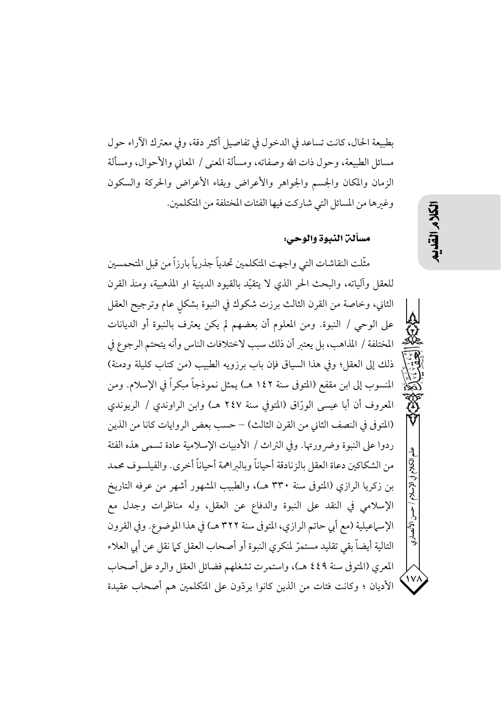بطبيعة الحال، كانت تساعد في الدخول في تفاصيل أكثر دقة، وفي معترك الآراء حول مسائل الطبيعة، وحول ذات الله وصفاته، ومسألة المعنى / المعاني والأحوال، ومسألة الزمان والمكان والجسم والجواهر والأعراض وبقاء الأعراض والحركة والسكون وغبرها من المسائل التي شاركت فيها الفئات المختلفة من المتكلمين.

## مسألن النبوة والوحي:

مثَّلت النقاشات التي واجهت المتكلمين تحدياً جذرياً بارزاً من قبل المتحمسين للعقل وآلياته، والبحث الحر الذي لا يتقيّد بالقيود الدينية او المذهبية، ومنذ القرن الثاني، وخاصة من القرن الثالث برزت شكوك في النبوة بشكل عام وترجيح العقل على الوحي / النبوة. ومن المعلوم أن بعضهم لم يكن يعترف بالنبوة أو الديانات المختلفة / المذاهب، بل يعتبر أن ذلك سبب لاختلافات الناس وأنه يتحتم الرجوع في ذلك إلى العقلِّ؛ وفي هذا السياق فإن باب برزويه الطبيب (من كتاب كليلة ودمنة) المنسوب إلى ابن مقفع (المتوفى سنة ١٤٢ هـ) يمثل نموذجاً مبكراً في الإسلام. ومن المعروف أن أبا عيسى الورّاق (المتوفى سنة ٢٤٧ هـ) وابن الراوندى / الريوندى (المتوفى في النصف الثاني من القرن الثالث) – حسب بعض الروايات كانا من الذين ردوا على النبوة وضر ورتها. وفي التراث / الأدبيات الإسلامية عادة تسمى هذه الفئة من الشكاكين دعاة العقل بالزنادقة أحياناً وبالبراهمة أحياناً أخرى. والفيلسوف محمد بن زكريا الرازي (المتوفى سنة ٣٣٠ هـ)، والطبيب المشهور أشهر من عرفه التاريخ الإسلامي في النقد على النبوة والدفاع عن العقل، وله مناظرات وجدل مع الإسماعيلية (مع أبي حاتم الرازي، المتوفى سنة ٣٢٢ هـ) في هذا الموضوع. وفي القرون التالية أيضاً بقى تقليد مستمرّ لمنكري النبوة أو أصحاب العقل كيا نقل عن أبي العلاء المعرى (المتوفى سنة ٤٤٩ هـ)، واستمرت تشغلهم فضائل العقل والرد على أصحاب الأديان ؛ وكانت فئات من الذين كانوا يردّون على المتكلمين هم أصحاب عقيدة こく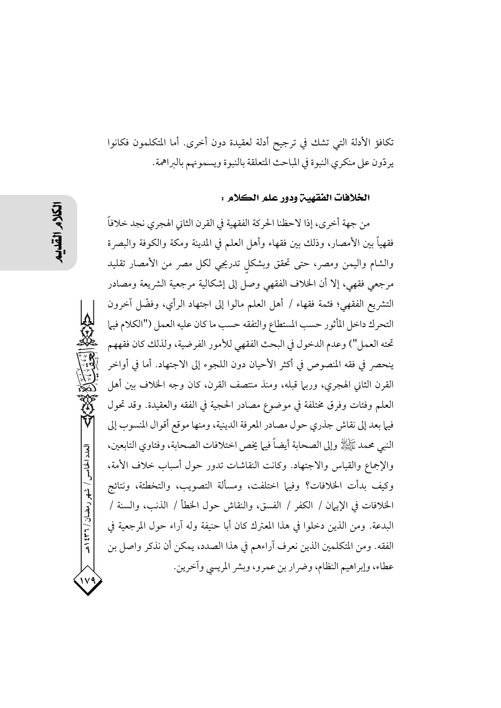تكافؤ الأدلة التي تشك في ترجيح أدلة لعقيدة دون أخرى. أما المتكلمون فكانوا يردّون على منكري النبوة في المباحث المتعلقة بالنبوة ويسمونهم بالبراهمة.

### الخلافات الفقهين ودور علم الكلام :

من جهة أخرى، إذا لاحظنا الحركة الفقهية في القرن الثاني الهجري نجد خلافاً فقهياً بين الأمصار، وذلك بين فقهاء وأهل العلم في المدينة ومكة والكوفة والبصرة والشام واليمن ومصر، حتى تحقق وبشكل تدريجي لكل مصر من الأمصار تقليد مرجعي فقهي، إلا أن الخلاف الفقهي وصل إلى إشكالية مرجعية الشريعة ومصادر التشريع الفقهي؛ فثمة فقهاء / أهل العلم مالوا إلى اجتهاد الرأي، وفضَّل آخرون التحرك داخل المأثور حسب المستطاع والتفقه حسب ما كان عليه العمل ("الكلام فيها تحته العمل") وعدم الدخول في البحث الفقهي للأمور الفرضية، ولذلك كان فقههم ينحصر في فقه المنصوص في أكثر الأحيان دون اللجوء إلى الاجتهاد. أما في أواخر القرن الثاني الهجري، وربيًا قبله، ومنذ منتصف القرن، كان وجه الخلاف بين أهل العلم وفئات وفرق مختلفة في موضوع مصادر الحجية في الفقه والعقيدة. وقد تحول فيها بعد إلى نقاش جذري حول مصادر المعرفة الدينية، ومنها موقع أقوال المنسوب إلى النبي محمد ﷺ وإلى الصحابة أيضاً فيها يخص اختلافات الصحابة، وفتاوى التابعين، والإجماع والقياس والاجتهاد. وكانت النقاشات تدور حول أسباب خلاف الأمة، وكيف بدأت الخلافات؟ وفيها اختلفت، ومسألة التصويب، والتخطئة، ونتائج الخلافات في الإيهان / الكفر / الفسق، والنقاش حول الخطأ / الذنب، والسنة / البدعة. ومن الذين دخلوا في هذا المعترك كان أبا حنيفة وله آراء حول المرجعية في الفقه. ومن المتكلمين الذين نعرف آراءهم في هذا الصدد، يمكن أن نذكر واصل بن عطاء، وإبراهيم النظام، وضرار بن عمرو، وبشر المريسي وآخرين.

العدد الخامس / شهر رمضان / ۲۳۱ ه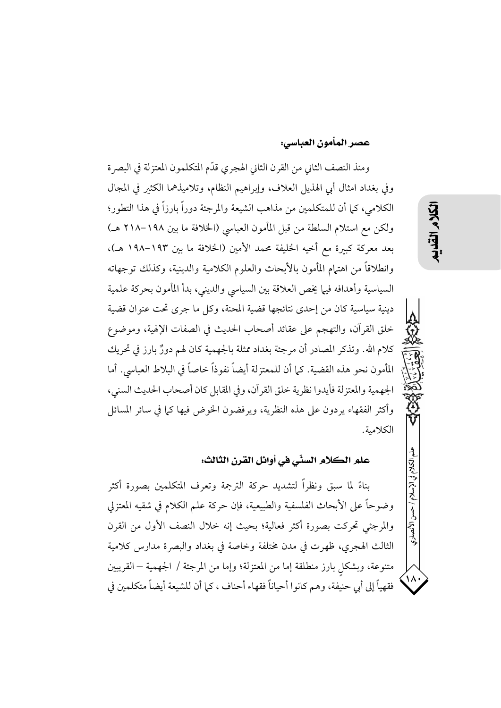### عصر المأمون العباسي:

ومنذ النصف الثاني من القرن الثاني الهجري قدّم المتكلمون المعتزلة في البصرة وفي بغداد امثال أبي الهذيل العلاف، وإبراهيم النظام، وتلاميذهما الكثير في المجال الكلامي، كما أن للمتكلمين من مذاهب الشيعة والمرجئة دوراً بارزاً في هذا التطور؛ ولكن مع استلام السلطة من قبل المأمون العباسي (الخلافة ما بين ١٩٨–٢١٨ هـ) بعد معركة كبيرة مع أخيه الخليفة محمد الأمين (الخلافة ما بين ١٩٣–١٩٨ هـ)، وانطلاقاً من اهتهام المأمون بالأبحاث والعلوم الكلامية والدينية، وكذلك توجهاته السياسية وأهدافه فيها يخص العلاقة بين السياسي والديني، بدأ المأمون بحركة علمية دينية سياسية كان من إحدى نتائجها قضية المحنة، وكل ما جرى تحت عنوان قضية خلق القرآن، والتهجم على عقائد أصحاب الحديث في الصفات الإلهية، وموضوع كلام الله. وتذكر المصادر أن مرجئة بغداد ممثلة بالجهمية كان لهم دورٌ بارز في تحريك المأمون نحو هذه القضية. كما أن للمعتزلة أيضاً نفوذاً خاصاً في البلاط العباسي. أما الجهمية والمعتزلة فأيدوا نظرية خلق القرآن، وفي المقابل كان أصحاب الحديث السنى، وأكثر الفقهاء يردون على هذه النظرية، ويرفضون الخوض فيها كما في سائر المسائل الكلامية.

علم الكلام السنّي في أوائل القرن الثالث:

بناءً لما سبق ونظراً لتشديد حركة الترجمة وتعرف المتكلمين بصورة أكثر وضوحاً على الأبحاث الفلسفية والطبيعية، فإن حركة علم الكلام في شقيه المعتزلي والمرجئي تحركت بصورة أكثر فعالية؛ بحيث إنه خلال النصف الأول من القرن الثالث الهجري، ظهرت في مدن مختلفة وخاصة في بغداد والبصرة مدارس كلامية متنوعة، وبشكل بارز منطلقة إما من المعتزلة؛ وإما من المرجئة / الجهمية – القريبين فقهياً إلى أبي حنيفة، وهم كانوا أحياناً فقهاء أحناف ، كما أن للشيعة أيضاً متكلمين في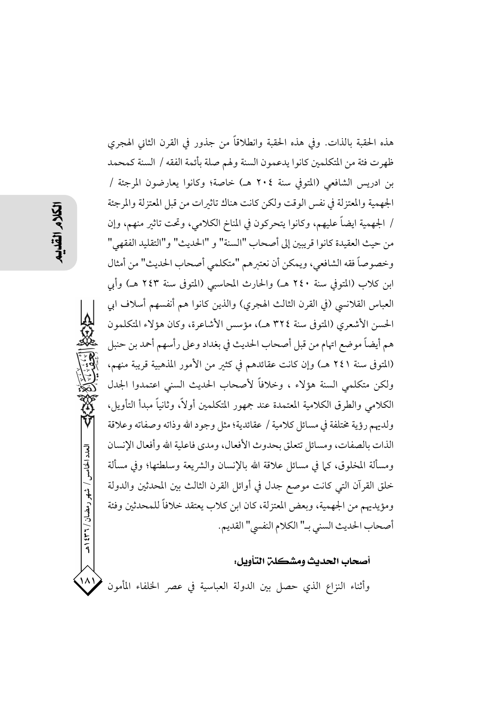العدد الخامس / شهر رمضان / ۲۳۱ و هـ  $\mathcal{M}$ 

هذه الحقبة بالذات. وفي هذه الحقبة وانطلاقاً من جذور في القرن الثاني الهجري ظهرت فئة من المتكلمين كانوا يدعمون السنة ولهم صلة بأئمة الفقه / السنة كمحمد بن ادريس الشافعي (المتوفى سنة ٢٠٤ هـ) خاصة؛ وكانوا يعارضون المرجئة / الجهمية والمعتزلة في نفس الوقت ولكن كانت هناك تاثيرات من قبل المعتزلة والمرجئة / الجهمية ايضاً عليهم، وكانوا يتحركون في المناخ الكلامي، وتحت تاثير منهم، وإن من حيث العقيدة كانوا قريبين إلى أصحاب "السنة" و "الحديث" و"التقليد الفقهي" وخصوصاً فقه الشافعي، ويمكن أن نعتبرهم "متكلمي أصحاب الحديث" من أمثال ابن كلاب (المتوفى سنة ٢٤٠ هـ) والحارث المحاسبي (المتوفى سنة ٢٤٣ هـ) وأبى العباس القلانسي (في القرن الثالث الهجري) والذين كانوا هم أنفسهم أسلاف ابي الحسن الأشعري (المتوفى سنة ٣٢٤ هـ)، مؤسس الأشاعرة، وكان هؤلاء المتكلمون هم أيضاً موضع اتهام من قبل أصحاب الحديث في بغداد وعلى رأسهم أحمد بن حنبل (المتوفى سنة ٢٤١ هـ) وإن كانت عقائدهم في كثير من الأمور المذهبية قريبة منهم، ولكن متكلمي السنة هؤلاء ، وخلافاً لأصحاب الحديث السنى اعتمدوا الجدل الكلامي والطرق الكلامية المعتمدة عند جمهور المتكلمين أولاً، وثانياً مبدأ التأويل، ولديهم رؤية مختلفة في مسائل كلامية / عقائدية؛ مثل وجود الله وذاته وصفاته وعلاقة الذات بالصفات، ومسائل تتعلق بحدوث الأفعال، ومدى فاعلية الله وأفعال الإنسان ومسألة المخلوق، كما في مسائل علاقة الله بالإنسان والشريعة وسلطتها؛ وفي مسألة خلق القرآن التي كانت موصع جدل في أوائل القرن الثالث بين المحدثين والدولة ومؤيديهم من الجهمية، وبعض المعتزلة، كان ابن كلاب يعتقد خلافاً للمحدثين وفئة أصحاب الحديث السني بـ" الكلام النفسي" القديم.

## أصحاب الحديث ومشكلن التأويل:

وأثناء النزاع الذي حصل بين الدولة العباسية في عصر الخلفاء المأمون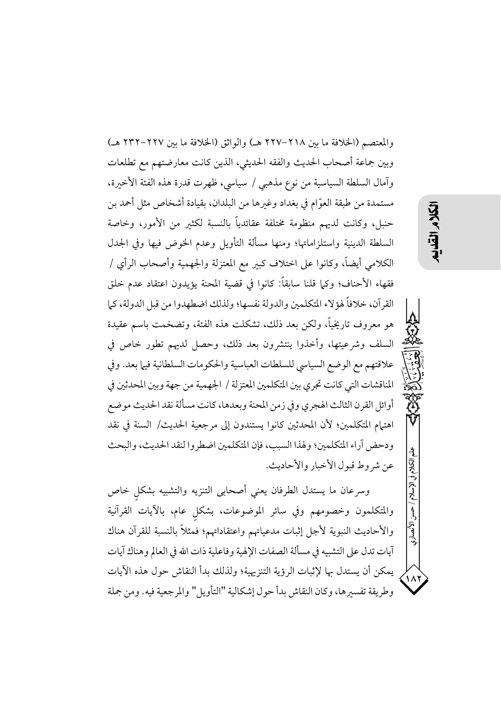والمعتصم (الخلافة ما بين ٢١٨–٢٢٧ هـ) والواثق (الخلافة ما بين ٢٢٧–٢٣٢ هـ) وبين جماعة أصحاب الحديث والفقه الحديثي، الذين كانت معارضتهم مع تطلعات وآمال السلطة السياسية من نوع مذهبي / سياسي، ظهرت قدرة هذه الفئة الأخيرة، مستمدة من طبقة العوَّام في بغداد وغيرها من البلدان، بقيادة أشخاص مثل أحمد بن حنبل، وكانت لديهم منظومة مختلفة عقائدياً بالنسبة لكثير من الأمور، وخاصة السلطة الدينية واستلزاماتها؛ ومنها مسألة التأويل وعدم الخوض فيها وفي الجدل الكلامي أيضاً، وكانوا على اختلاف كبير مع المعتزلة والجهمية وأصحاب الرأي / فقهاء الأحناف؛ وكما قلنا سابقاً: كانوا في قضية المحنة يؤيدون اعتقاد عدم خلق القرآن، خلافاً لهؤلاء المتكلمين والدولة نفسها؛ ولذلك اضطهدوا من قبل الدولة، كما هو معروف تاريخياً، ولكن بعد ذلك، تشكلت هذه الفئة، وتضخمت باسم عقيدة السلف وشرعيتها، وأخذوا ينتشرون بعد ذلك، وحصل لديهم تطور خاص في علاقتهم مع الوضع السياسي للسلطات العباسية والحكومات السلطانية فيها بعد. وفي المناقشات التي كانت تجري بين المتكلمين المعتزلة / الجهمية من جهة وبين المحدثين في أوائل القرن الثالث الهجري وفي زمن المحنة وبعدها، كانت مسألة نقد الحديث موضع اهتهام المتكلمين؛ لأن المحدثين كانوا يستندون إلى مرجعية الحديث/ السنة في نقد ودحض آراء المتكلمين؛ ولهذا السبب، فإن المتكلمين اضطروا لنقد الحديث، والبحث عن شروط قبول الأخبار والأحاديث.

وسرعان ما يستدل الطرفان يعني أصحابى التنزيه والتشبيه بشكل خاص والمتكلمون وخصومهم وفي سائر الموضوعات، بشكل عام، بالأيات القرآنية والأحاديث النبوية لأجل إثبات مدعياتهم واعتقاداتهم؛ فمثلاً بالنسبة للقرآن هناك آيات تدل على التشبيه في مسألة الصفات الإلهية وفاعلية ذات الله في العالم وهناك آيات يمكن أن يستدل بها لإثبات الرؤية التنزيهية؛ ولذلك بدأ النقاش حول هذه الآيات وطريقة تفسيرها، وكان النقاش بدأ حول إشكالية "التأويل" والمرجعية فيه. ومن جملة علم الكلام في الإسلام /

الأنصارى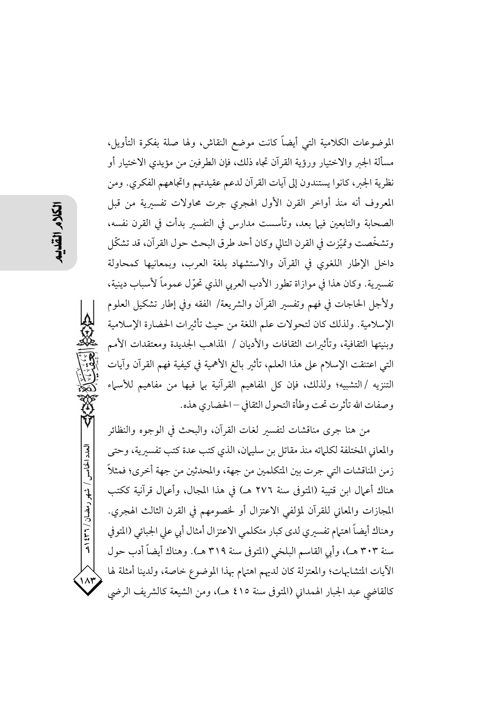الموضوعات الكلامية التي أيضاً كانت موضع النقاش، ولها صلة بفكرة التأويل، مسألة الجبر والاختيار ورؤية القرآن تجاه ذلك، فإن الطرفين من مؤيدي الاختيار أو نظرية الجبر، كانوا يستندون إلى آيات القرآن لدعم عقيدتهم واتجاههم الفكري. ومن المعروف أنه منذ أواخر القرن الأول الهجري جرت محاولات تفسيرية من قبل الصحابة والتابعين فيها بعد، وتأسست مدارس في التفسير بدأت في القرن نفسه، وتشخَّصت وتميَّزت في القرن التالي وكان أحد طرق البحث حول القرآن، قد تشكَّل داخل الإطار اللغوي في القرآن والاستشهاد بلغة العرب، وبمعانيها كمحاولة تفسيرية. وكان هذا في موازاة تطور الأدب العربي الذي تحوِّل عموماً لأسباب دينية، ولأجل الحاجات في فهم وتفسير القرآن والشريعة/ الفقه وفي إطار تشكيل العلوم الإسلامية. ولذلك كان لتحولات علم اللغة من حيث تأثيرات الحضارة الإسلامية وبنيتها الثقافية، وتأثيرات الثقافات والأديان / المذاهب الجديدة ومعتقدات الأمم التي اعتنقت الإسلام على هذا العلم، تأثير بالغ الأهمية في كيفية فهم القرآن وآيات التنزيه /التشبيه؛ ولذلك، فإن كل المفاهيم القرآنية بها فيها من مفاهيم للأسماء وصفات الله تأثرت تحت وطأة التحول الثقافي – الحضاري هذه.

من هنا جرى مناقشات لتفسير لغات القرآن، والبحث في الوجوه والنظائر والمعاني المختلفة لكلماته منذ مقاتل بن سليهان، الذي كتب عدة كتب تفسيرية، وحتى زمن المناقشات التي جرت بين المتكلمين من جهة، والمحدثين من جهة أخرى؛ فمثلاً هناك أعمال ابن قتيبة (المتوفى سنة ٢٧٦ هـ) في هذا المجال، وأعمال قرآنية ككتب المجازات والمعاني للقرآن لمؤلفي الاعتزال أو لخصومهم في القرن الثالث الهجري. وهناك أيضاً اهتهام تفسيري لدى كبار متكلمي الاعتزال أمثال أبي على الجبائي (المتوفي سنة ٣٠٣ هـ)، وأبي القاسم البلخي (المتوفى سنة ٣١٩ هـ). وهناك أيضاً أدب حول الآيات المتشابهات؛ والمعتزلة كان لديهم اهتيام بهذا الموضوع خاصة، ولدينا أمثلة لها كالقاضي عبد الجبار الهمداني (المتوفى سنة ٤١٥ هـ)، ومن الشيعة كالشريف الرضي

العدد الخامس / شهر رمضان / ٣٦٦ هـ

 $\lambda$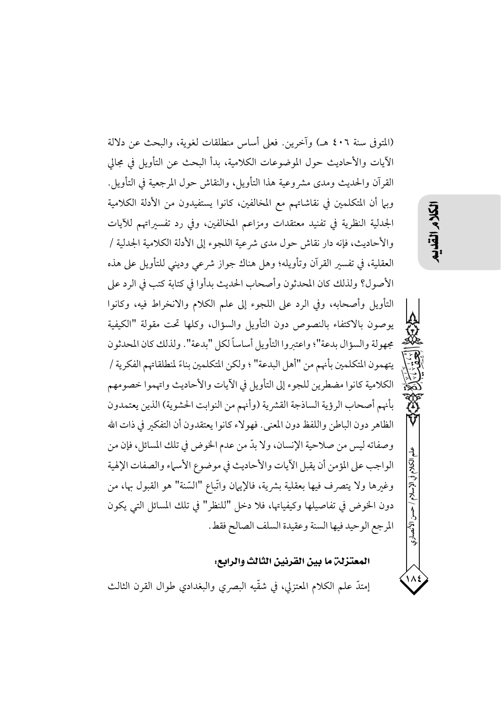(المتوفى سنة ٤٠٦ هـ) وآخرين. فعلى أساس منطلقات لغوية، والبحث عن دلالة الآيات والأحاديث حول الموضوعات الكلامية، بدأ البحث عن التأويل في مجالي القرآن والحديث ومدى مشروعية هذا التأويل، والنقاش حول المرجعية في التأويل. وبيا أن المتكلمين في نقاشاتهم مع المخالفين، كانوا يستفيدون من الأدلة الكلامية الجدلية النظرية في تفنيد معتقدات ومزاعم المخالفين، وفي رد تفسيراتهم للآيات والأحاديث، فإنه دار نقاش حول مدى شرعية اللجوء إلى الأدلة الكلامية الجدلية / العقلية، في تفسير القرآن وتأويله؛ وهل هناك جواز شرعي وديني للتأويل على هذه الأصول؟ ولذلك كان المحدثون وأصحاب الحديث بدأوا في كتابة كتب في الرد على التأويل وأصحابه، وفي الرد على اللجوء إلى علم الكلام والانخراط فيه، وكانوا يوصون بالاكتفاء بالنصوص دون التأويل والسؤال، وكلها تحت مقولة "الكيفية مجهولة والسؤال بدعة"؛ واعتبروا التأويل أساساً لكل "بدعة". ولذلك كان المحدثون يتهمون المتكلمين بأنهم من "أهل البدعة" ؛ ولكن المتكلمين بناءً لمنطلقاتهم الفكرية / الكلامية كانوا مضطرين للجوء إلى التأويل في الأيات والأحاديث واتهموا خصومهم بأنهم أصحاب الرؤية الساذجة القشرية (وأنهم من النوابت الحشوية) الذين يعتمدون الظاهر دون الباطن واللفظ دون المعنى. فهو لاء كانوا يعتقدون أن التفكير في ذات الله وصفاته ليس من صلاحية الإنسان، ولا بدَّ من عدم الخوض في تلك المسائل، فإن من الواجب على المؤمن أن يقبل الآيات والأحاديث في موضوع الأسماء والصفات الإلهية وغيرها ولا يتصرف فيها بعقلية بشرية، فالإيهان واتَّباع "السَّنة" هو القبول بها، من دون الخوض في تفاصيلها وكيفياتها، فلا دخل "للنظر" في تلك المسائل التي يكون المرجع الوحيد فيها السنة وعقيدة السلف الصالح فقط.

## المعتزلة ما بين القرنين الثالث والرابع:

إمتدَّ علم الكلام المعتزلي، في شقَّيه البصري والبغدادي طوال القرن الثالث

# 以久

الكلام في الإسلام / حسن الأنصاري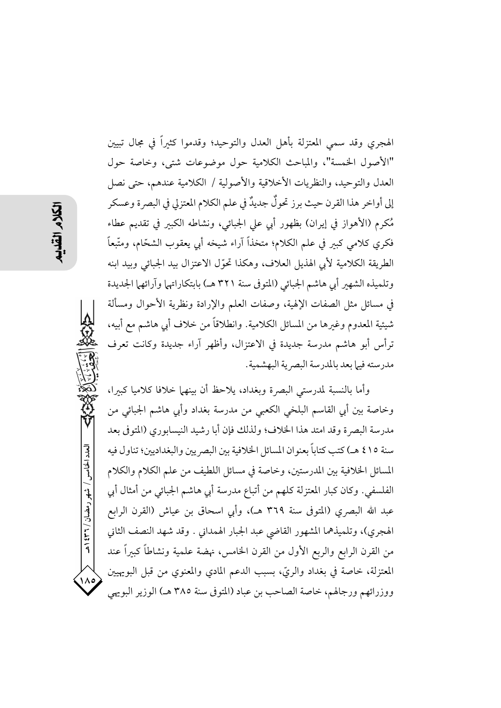الهجري وقد سمي المعتزلة بأهل العدل والتوحيد؛ وقدموا كثيراً في مجال تبيين "الأصول الخمسة"، والمباحث الكلامية حول موضوعات شتى، وخاصة حول العدل والتوحيد، والنظريات الأخلاقية والأصولية / الكلامية عندهم، حتى نصل إلى أواخر هذا القرن حيث برز تحولٌ جديدٌ في علم الكلام المعتزلي في البصرة وعسكر مُكرِم (الأهواز في إيران) بظهور أبي على الجبائي، ونشاطه الكبير في تقديم عطاء فكرى كلامي كبير في علم الكلام؛ متخذاً آراء شيخه أيي يعقوب الشحّام، ومتَّبعاً الطريقة الكلامية لأبي الهذيل العلاف، وهكذا تحوَّل الاعتزال بيد الجبائي وبيد ابنه وتلميذه الشهير أبي هاشم الجبائي (المتوفى سنة ٣٢١ هـ) بابتكاراتها وآرائها الجديدة في مسائل مثل الصفات الإلهية، وصفات العلم والإرادة ونظرية الأحوال ومسألة شيئية المعدوم وغيرها من المسائل الكلامية. وانطلاقاً من خلاف أبي هاشم مع أبيه، ترأس أبو هاشم مدرسة جديدة في الاعتزال، وأظهر آراء جديدة وكانت تعرف مدرسته فيها بعد بالمدرسة البصر ية البهشمية.

وأما بالنسبة لمدرستي البصرة وبغداد، يلاحظ أن بينهما خلافا كلاميا كبيرا، وخاصة بين أبي القاسم البلخي الكعبي من مدرسة بغداد وأبي هاشم الجبائي من مدرسة البصرة وقد امتد هذا الخلاف؛ ولذلك فإن أبا رشيد النيسابوري (المتوفى بعد سنة ٤١٥ هـ) كتب كتاباً بعنوان المسائل الخلافية بين البصريين والبغداديين؛ تناول فيه المسائل الخلافية بين المدرستين، وخاصة في مسائل اللطيف من علم الكلام والكلام الفلسفي. وكان كبار المعتزلة كلهم من أتباع مدرسة أبي هاشم الجبائي من أمثال أبي عبد الله البصري (المتوفى سنة ٣٦٩ هـ)، وأبي اسحاق بن عياش (القرن الرابع الهجري)، وتلميذهما المشهور القاضي عبد الجبار الهمداني . وقد شهد النصف الثاني من القرن الرابع والربع الأول من القرن الخامس، نهضة علمية ونشاطاً كبيراً عند المعتزلة، خاصة في بغداد والريّ، بسبب الدعم المادي والمعنوي من قبل البويهيين ووزرائهم ورجالهم، خاصة الصاحب بن عباد (المتوفى سنة ٣٨٥ هـ) الوزير البويهي

العدد الخامس / شهر رمضان / ٣٦٦ هـ

 $\lambda$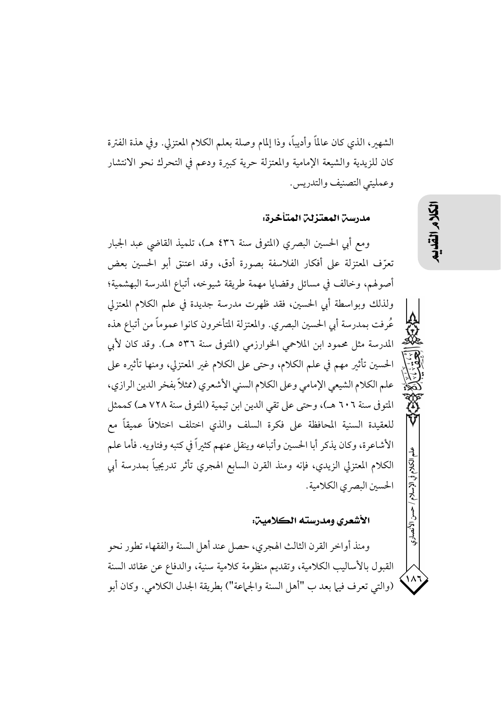الشهير، الذي كان عالمًا وأديبًا، وذا إلمام وصلة بعلم الكلام المعتزلي. وفي هذة الفترة كان للزيدية والشيعة الإمامية والمعتزلة حرية كبيرة ودعم فى التحرك نحو الانتشار وعمليتي التصنيف والتدريس.

مدرسن المعتزلن المتأخرة:

ومع أبي الحسين البصري (المتوفى سنة ٤٣٦ هـ)، تلميذ القاضي عبد الجبار تعرَّف المعتزلة على أفكار الفلاسفة بصورة أدق، وقد اعتنق أبو الحسين بعض أصولهم، وخالف في مسائل وقضايا مهمة طريقة شيوخه، أتباع المدرسة البهشمية؛ ولذلك وبواسطة أبي الحسين، فقد ظهرت مدرسة جديدة في علم الكلام المعتزلي عُرفت بمدرسة أبي الحسين البصري. والمعتزلة المتأخرون كانوا عموماً من أتباع هذه المدرسة مثل محمود ابن الملاحمي الخوارزمي (المتوفى سنة ٥٣٦ هـ). وقد كان لأبي الحسين تأثير مهم في علم الكلام، وحتى على الكلام غير المعتزلي، ومنها تأثيره على علم الكلام الشيعي الإمامي وعلى الكلام السني الأشعري (ممثلاً بفخر الدين الرازي، المتوفي سنة ٦٠٦ هـ)، وحتى على تقى الدين ابن تيمية (المتوفي سنة ٧٢٨ هـ) كممثل للعقيدة السنية المحافظة على فكرة السلف والذي اختلف اختلافاً عميقاً مع الأشاعرة، وكان يذكر أبا الحسين وأتباعه وينقل عنهم كثيراً في كتبه وفتاويه. فأما علم الكلام المعتزلي الزيدي، فإنه ومنذ القرن السابع الهجري تأثر تدريجياً بمدرسة أبي الحسين البصر ي الكلامية.

### الأشعري ومدرسته الكلامين:

ومنذ أواخر القرن الثالث الهجري، حصل عند أهل السنة والفقهاء تطور نحو القبول بالأساليب الكلامية، وتقديم منظومة كلامية سنية، والدفاع عن عقائد السنة (والتي تعرف فيها بعد ب "أهل السنة والجماعة") بطريقة الجدل الكلامي. وكان أبو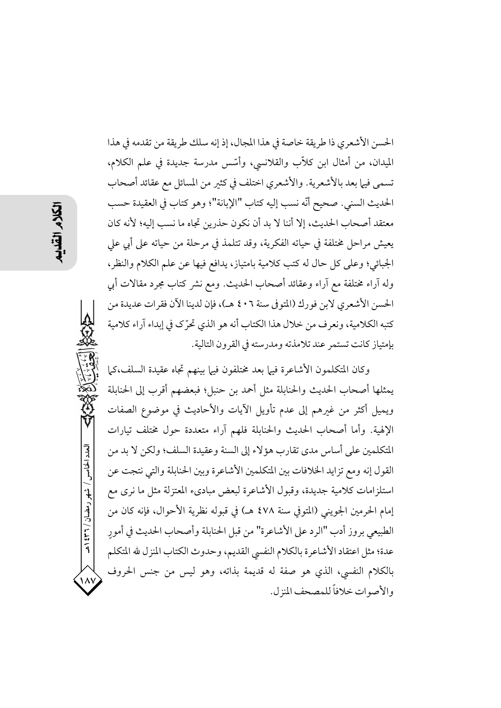الحسن الأشعري ذا طريقة خاصة في هذا المجال، إذ إنه سلك طريقة من تقدمه في هذا الميدان، من أمثال ابن كلاَّب والقلانسي، وأسَّس مدرسة جديدة في علم الكلام، تسمى فيها بعد بالأشعرية. والأشعري اختلف في كثير من المسائل مع عقائد أصحاب الحديث السني. صحيح أنَّه نسب إليه كتاب "الإبانة"؛ وهو كتاب في العقيدة حسب معتقد أصحاب الحديث، إلا أننا لا بد أن نكون حذرين تجاه ما نسب إليه؛ لأنه كان يعيش مراحل مختلفة في حياته الفكرية، وقد تتلمذ في مرحلة من حياته على أبي على الجبائي؛ وعلى كل حال له كتب كلامية بامتياز، يدافع فيها عن علم الكلام والنظر، وله آراء مختلفة مع آراء وعقائد أصحاب الحديث. ومع نشر كتاب مجرد مقالات أبي الحسن الأشعري لابن فورك (المتوفى سنة ٤٠٦ هـ)، فإن لدينا الآن فقرات عديدة من كتبه الكلامية، ونعرف من خلال هذا الكتاب أنه هو الذي تحرِّك في إبداء آراء كلامية بإمتياز كانت تستمر عند تلامذته ومدرسته في القرون التالية.

وكان المتكلمون الأشاعرة فيها بعد مختلفون فيها بينهم تجاه عقيدة السلف،كما يمثلها أصحاب الحديث والحنابلة مثل أحمد بن حنبل؛ فبعضهم أقرب إلى الحنابلة ويميل أكثر من غيرهم إلى عدم تأويل الآيات والأحاديث في موضوع الصفات الإلهية. وأما أصحاب الحديث والحنابلة فلهم آراء متعددة حول مختلف تيارات المتكلمين على أساس مدى تقارب هؤلاء إلى السنة وعقيدة السلف؛ ولكن لا بد من القول إنه ومع تزايد الخلافات بين المتكلمين الأشاعرة وبين الحنابلة والتي نتجت عن استلزامات كلامية جديدة، وقبول الأشاعرة لبعض مباديء المعتزلة مثل ما نرى مع إمام الحرمين الجويني (المتوفى سنة ٤٧٨ هـ) في قبوله نظرية الأحوال، فإنه كان من الطبيعي بروز أدب "الرد على الأشاعرة" من قبل الحنابلة وأصحاب الحديث في أمورٍ عدة؛ مثل اعتقاد الأشاعرة بالكلام النفسي القديم، وحدوث الكتاب المنزل لله المتكلم بالكلام النفسي، الذي هو صفة له قديمة بذاته، وهو ليس من جنس الحروف والأصوات خلافاً للمصحف المنزل.

العدد الخامس / شهر رمضان / ٣٦٦ هـ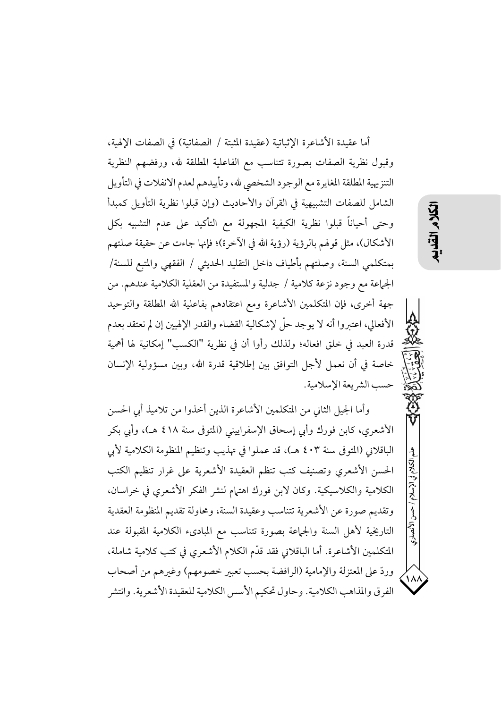أما عقيدة الأشاعرة الإثباتية (عقيدة المثبتة / الصفاتية) في الصفات الإلهية، وقبول نظرية الصفات بصورة تتناسب مع الفاعلية المطلقة لله، ورفضهم النظرية التنزيهية المطلقة المغايرة مع الوجود الشخصي لله، وتأييدهم لعدم الانفلات في التأويل الشامل للصفات التشبيهية في القرآن والأحاديث (وإن قبلوا نظرية التأويل كمبدأ وحتى أحياناً قبلوا نظرية الكيفية المجهولة مع التأكيد على عدم التشبيه بكل الأشكال)، مثل قولهم بالرؤية (رؤية الله في الآخرة)؛ فإنها جاءت عن حقيقة صلتهم بمتكلمي السنة، وصلتهم بأطياف داخل التقليد الحديثي / الفقهي والمتبع للسنة/ الجماعة مع وجود نزعة كلامية / جدلية والمستفيدة من العقلية الكلامية عندهم. من جهة أخرى، فإن المتكلمين الأشاعرة ومع اعتقادهم بفاعلية الله المطلقة والتوحيد الأفعالي، اعتبروا أنه لا يوجد حلَّ لإشكالية القضاء والقدر الإلهيين إن لم نعتقد بعدم قدرة العبد في خلق افعاله؛ ولذلك رأوا أن في نظرية "الكسب" إمكانية لها أهمية خاصة في أن نعمل لأجل التوافق بين إطلاقية قدرة الله، وبين مسؤولية الإنسان حسب الشريعة الإسلامية.

وأما الجيل الثاني من المتكلمين الأشاعرة الذين أخذوا من تلاميذ أبي الحسن الأشعري، كابن فورك وأبي إسحاق الإسفراييني (المتوفي سنة ٤١٨ هـ)، وأبي بكر الباقلاني (المتوفى سنة ٤٠٣ هـ)، قد عملوا في تهذيب وتنظيم المنظومة الكلامية لأي الحسن الأشعري وتصنيف كتب تنظم العقيدة الأشعرية على غرار تنظيم الكتب الكلامية والكلاسيكية. وكان لابن فورك اهتيام لنشر الفكر الأشعري في خراسان، وتقديم صورة عن الأشعرية تتناسب وعقيدة السنة، ومحاولة تقديم المنظومة العقدية التاريخية لأهل السنة والجماعة بصورة تتناسب مع المبادىء الكلامية المقبولة عند المتكلمين الأشاعرة. أما الباقلاني فقد قدَّم الكلام الأشعري في كتب كلامية شاملة، وردِّ على المعتزلة والإمامية (الرافضة بحسب تعبير خصومهم) وغيرهم من أصحاب الفرق والمذاهب الكلامية. وحاول تحكيم الأسس الكلامية للعقيدة الأشعرية. وانتشر こく

الكلام فى الإسلام

 $\sum_{i=1}^{n}$ 

الأنصاري

 $\lambda$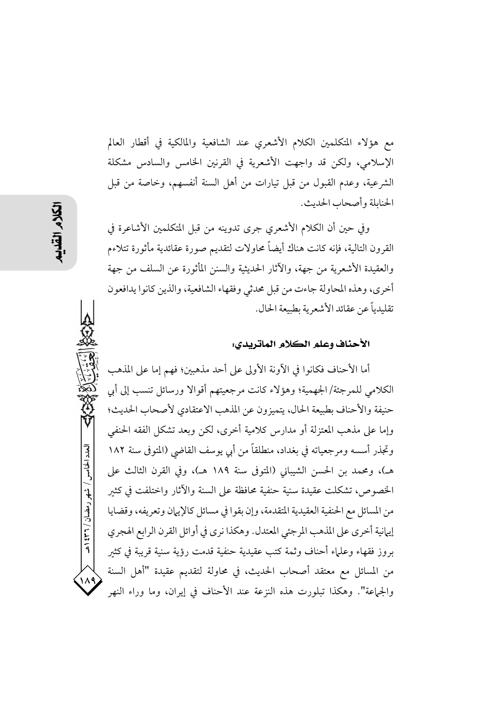مع هؤلاء المتكلمين الكلام الأشعري عند الشافعية والمالكية في أقطار العالم الإسلامي، ولكن قد واجهت الأشعرية في القرنين الخامس والسادس مشكلة الشرعية، وعدم القبول من قبل تيارات من أهل السنة أنفسهم، وخاصة من قبل الحنابلة وأصحاب الحديث.

وفي حين أن الكلام الأشعري جرى تدوينه من قبل المتكلمين الأشاعرة في القرون التالية، فإنه كانت هناك أيضاً محاولات لتقديم صورة عقائدية مأثورة تتلاءم والعقيدة الأشعرية من جهة، والآثار الحديثية والسنن المأثورة عن السلف من جهة أخرى، وهذه المحاولة جاءت من قبل محدثي وفقهاء الشافعية، والذين كانوا يدافعون تقليدياً عن عقائد الأشعرية بطبيعة الحال.

### الأحناف وعلم الكلام الماتريدي:

أما الأحناف فكانوا في الآونة الأولى على أحد مذهبين؛ فهم إما على المذهب الكلامي للمرجئة/الجهمية؛ وهؤلاء كانت مرجعيتهم أقوالا ورسائل تنسب إلى أي حنيفة والأحناف بطبيعة الحال، يتميزون عن المذهب الاعتقادي لأصحاب الحديث؛ وإما على مذهب المعتزلة أو مدارس كلامية أخرى، لكن وبعد تشكل الفقه الحنفي وتجذر أسسه ومرجعياته في بغداد، منطلقاً من أبي يوسف القاضي (المتوفي سنة ١٨٢ هـ)، ومحمد بن الحسن الشيباني (المتوفى سنة ١٨٩ هـ)، وفي القرن الثالث على الخصوص، تشكلت عقيدة سنية حنفية محافظة على السنة والآثار واختلفت في كثير من المسائل مع الحنفية العقيدية المتقدمة، وإن بقوا في مسائل كالإيبان وتعريفه، وقضايا إيهانية أخرى على المذهب المرجئي المعتدل. وهكذا نرى في أوائل القرن الرابع الهجري بروز فقهاء وعلماء أحناف وثمة كتب عقيدية حنفية قدمت رؤية سنية قريبة في كثبر من المسائل مع معتقد أصحاب الحديث، في محاولة لتقديم عقيدة "أهل السنة والجماعة". وهكذا تبلورت هذه النزعة عند الأحناف في إيران، وما وراء النهر

العدد الخامس / شهر رمضان / ۲۳۱ ه

 $\lambda$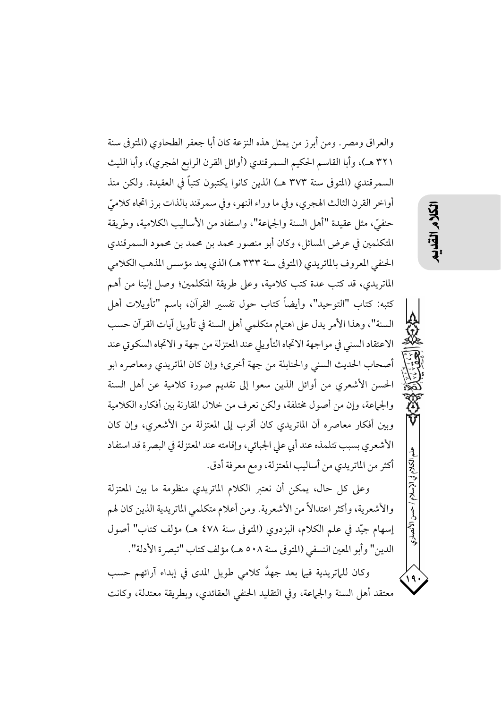والعراق ومصر . ومن أبرز من يمثل هذه النزعة كان أبا جعفر الطحاوي (المتوفى سنة ٣٢١ هـ)، وأبا القاسم الحكيم السمرقندي (أوائل القرن الرابع الهجري)، وأبا الليث السمرقندي (المتوفى سنة ٣٧٣ هـ) الذين كانوا يكتبون كتباً في العقيدة. ولكن منذ أواخر القرن الثالث الهجري، وفي ما وراء النهر، وفي سمر قند بالذات برز اتجاه كلاميِّ حنفيٍّ، مثل عقيدة "أهل السنة والجماعة"، واستفاد من الأساليب الكلامية، وطريقة المتكلمين في عرض المسائل، وكان أبو منصور محمد بن محمد بن محمود السمرقندي الحنفي المعروف بالماتريدي (المتوفى سنة ٣٣٣ هـ) الذي يعد مؤسس المذهب الكلامي الماتريدي، قد كتب عدة كتب كلامية، وعلى طريقة المتكلمين؛ وصل إلينا من أهم كتبه: كتاب "التوحيد"، وأيضاً كتاب حول تفسير القرآن، باسم "تأويلات أهل السنة"، وهذا الأمر يدل على اهتهام متكلمي أهل السنة في تأويل آيات القرآن حسب الاعتقاد السني في مواجهة الاتجاه التأويلي عند المعتزلة من جهة و الاتجاه السكوتي عند أصحاب الحديث السني والحنابلة من جهة أخرى؛ وإن كان الماتريدي ومعاصره ابو الحسن الأشعري من أوائل الذين سعوا إلى تقديم صورة كلامية عن أهل السنة والجماعة، وإن من أصول مختلفة، ولكن نعرف من خلال المقارنة بين أفكاره الكلامية وبين أفكار معاصره أن الماتريدي كان أقرب إلى المعتزلة من الأشعري، وإن كان الأشعري بسبب تتلمذه عند أبي على الجبائي، وإقامته عند المعتزلة في البصرة قد استفاد أكثر من الماتريدي من أساليب المعتزلة، ومع معرفة أدق.

وعلى كل حال، يمكن أن نعتبر الكلام الماتريدي منظومة ما بين المعتزلة والأشعرية، وأكثر اعتدالاً من الأشعرية. ومن أعلام متكلمي الماتريدية الذين كان لهم إسهام جيّد في علم الكلام، البزدوي (المتوفى سنة ٤٧٨ هـ) مؤلف كتاب" أصول الدين" وأبو المعين النسفى (المتوفى سنة ٥٠٨ هـ) مؤلف كتاب "تبصرة الأدلة".

وكان للماتريدية فيها بعد جهدٌ كلامي طويل المدى في إبداء آرائهم حسب معتقد أهل السنة والجماعة، وفي التقليد الحنفي العقائدي، وبطريقة معتدلة، وكانت

## 以久

الكلام فى الإسلام

۱۹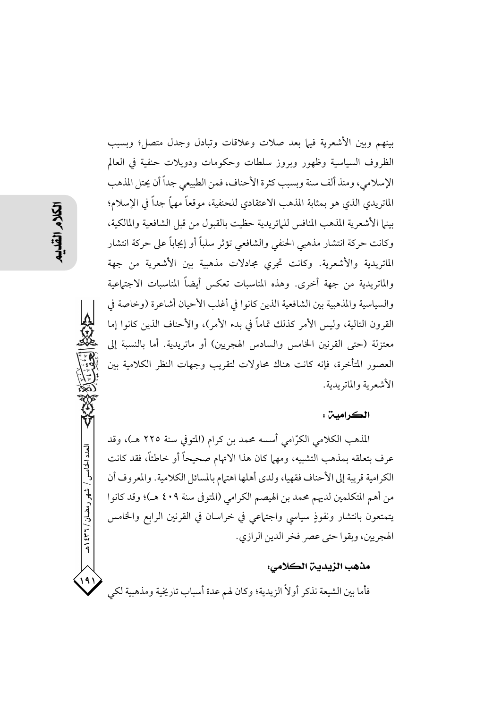بينهم وبين الأشعرية فيها بعد صلات وعلاقات وتبادل وجدل متصل؛ وبسبب الظروف السياسية وظهور وبروز سلطات وحكومات ودويلات حنفية فى العالم الإسلامي، ومنذ ألف سنة وبسبب كثرة الأحناف، فمن الطبيعي جداً أن يحتل المذهب الماتريدي الذي هو بمثابة المذهب الاعتقادي للحنفية، موقعاً مهماً جداً في الإسلام؛ بينها الأشعرية المذهب المنافس للماتريدية حظيت بالقبول من قبل الشافعية والمالكية، وكانت حركة انتشار مذهبي الحنفي والشافعي تؤثر سلباً أو إيجاباً على حركة انتشار الماتريدية والأشعرية. وكانت تجرى مجادلات مذهبية بين الأشعرية من جهة والماتريدية من جهة أخرى. وهذه المناسبات تعكس أيضاً المناسبات الاجتماعية والسياسية والمذهبية بين الشافعية الذين كانوا في أغلب الأحيان أشاعرة (وخاصة في القرون التالية، وليس الأمر كذلك تماماً في بدء الأمر)، والأحناف الذين كانوا إما معتزلة (حتى القرنين الخامس والسادس الهجريين) أو ماتريدية. أما بالنسبة إلى العصور المتأخرة، فإنه كانت هناك محاولات لتقريب وجهات النظر الكلامية بين الأشعرية والماتريدية.

### الكرامين :

المذهب الكلامي الكرَّامي أسسه محمد بن كرام (المتوفى سنة ٢٢٥ هـ)، وقد عرف بتعلقه بمذهب التشبيه، ومهما كان هذا الاتهام صحيحاً أو خاطئاً، فقد كانت الكرامية قريبة إلى الأحناف فقهيا، ولدى أهلها اهتهام بالمسائل الكلامية. والمعروف أن من أهم المتكلمين لديهم محمد بن الهيصم الكرامي (المتوفى سنة ٤٠٩ هـ)؛ وقد كانوا يتمتعون بانتشار ونفوذٍ سياسي واجتهاعي في خراسان في القرنين الرابع والخامس الهجريين، وبقوا حتى عصر فخر الدين الرازي.

### مذهب الزيدين الكلامي:

فأما بين الشيعة نذكر أولاً الزيدية؛ وكان لهم عدة أسباب تاريخية ومذهبية لكي

العدد الخامس / شهر رمضان / ۳۶۲ هـ

191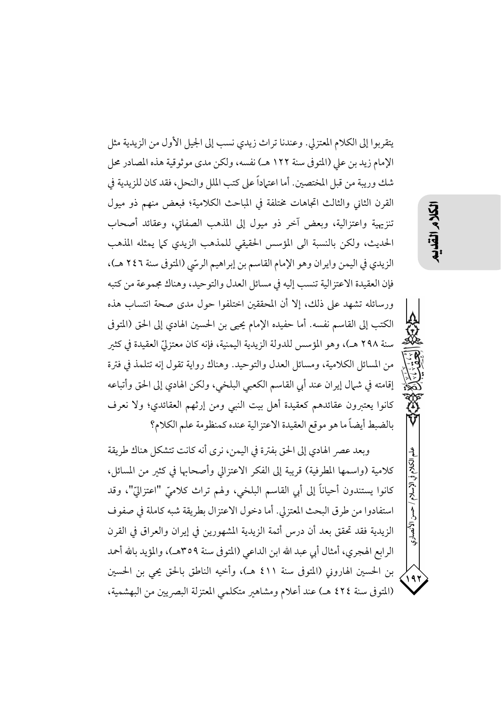يتقربوا إلى الكلام المعتزلي. وعندنا تراث زيدي نسب إلى الجيل الأول من الزيدية مثل الإمام زيد بن على (المتوفى سنة ١٢٢ هـ) نفسه، ولكن مدى موثوقية هذه المصادر محل شك وريبة من قبل المختصين. أما اعتماداً على كتب الملل والنحل، فقد كان للزيدية في القرن الثاني والثالث اتجاهات مختلفة في المباحث الكلامية؛ فبعض منهم ذو ميول تنزيهية واعتزالية، وبعض آخر ذو ميول إلى المذهب الصفاتي، وعقائد أصحاب الحديث، ولكن بالنسبة الى المؤسس الحقيقى للمذهب الزيدي كما يمثله المذهب الزيدي في اليمن وايران وهو الإمام القاسم بن إبراهيم الرسّي (المتوفى سنة ٢٤٦ هـ)، فإن العقيدة الاعتزالية تنسب إليه في مسائل العدل والتوحيد، وهناك مجموعة من كتبه ورسائله تشهد على ذلك، إلا أن المحققين اختلفوا حول مدى صحة انتساب هذه الكتب إلى القاسم نفسه. أما حفيده الإمام يحيى بن الحسين الهادي إلى الحق (المتوفى سنة ٢٩٨ هـ)، وهو المؤسس للدولة الزيدية اليمنية، فإنه كان معتزليّ العقيدة في كثير من المسائل الكلامية، ومسائل العدل والتوحيد. وهناك رواية تقول إنه تتلمذ في فترة إقامته في شمال إيران عند أبي القاسم الكعبي البلخي، ولكن الهادي إلى الحق وأتباعه كانوا يعتبرون عقائدهم كعقيدة أهل بيت النبي ومن إرثهم العقائدي؛ ولا نعرف بالضبط أيضاً ما هو موقع العقيدة الاعتزالية عنده كمنظومة علم الكلام؟

وبعد عصر الهادي إلى الحق بفترة في اليمن، نرى أنه كانت تتشكل هناك طريقة كلامية (واسمها المطرفية) قريبة إلى الفكر الاعتزالي وأصحابها في كثير من المسائل، كانوا يستندون أحياناً إلى أبي القاسم البلخي، ولهم تراث كلاميِّ "اعتزاليٍّ"، وقد استفادوا من طرق البحث المعتزلي. أما دخول الاعتزال بطريقة شبه كاملة في صفوف الزيدية فقد تحقق بعد أن درس أئمة الزيدية المشهورين في إيران والعراق في القرن الرابع الهجري، أمثال أبي عبد الله ابن الداعي (المتوفى سنة ٣٥٩هـ)، والمؤيد بالله أحمد بن الحسين الهاروني (المتوفى سنة ٤١١ هـ)، وأخيه الناطق بالحق يحي بن الحسين (المتوفى سنة ٤٢٤ هـ) عند أعلام ومشاهير متكلمي المعتزلة البصريين من البهشمية،

الكلام في الإسلام

 $\sum$ 

الأنصارى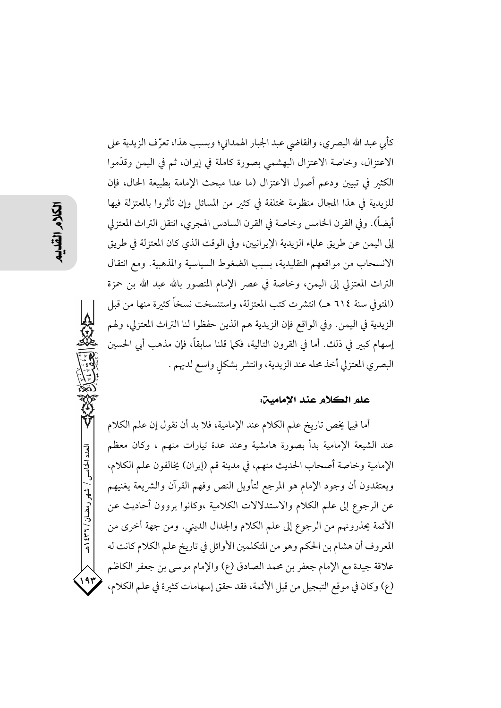العدد الخامس / شهر رمضان / ۲۳۱ ه

۱۹۳

كأبي عبد الله البصري، والقاضي عبد الجبار الهمداني؛ وبسبب هذا، تعرّف الزيدية على الاعتزال، وخاصة الاعتزال البهشمي بصورة كاملة في إيران، ثم في اليمن وقدَّموا الكثير في تبيين ودعم أصول الاعتزال (ما عدا مبحث الإمامة بطبيعة الحال، فإن للزيدية في هذا المجال منظومة مختلفة في كثير من المسائل وإن تأثروا بالمعتزلة فيها أيضاً). وفي القرن الخامس وخاصة في القرن السادس الهجري، انتقل التراث المعتزلي إلى اليمن عن طريق علياء الزيدية الإيرانيين، وفي الوقت الذي كان المعتزلة في طريق الانسحاب من مواقعهم التقليدية، بسبب الضغوط السياسية والمذهبية. ومع انتقال التراث المعتزلي إلى اليمن، وخاصة في عصر الإمام المنصور بالله عبد الله بن حمزة (المتوفي سنة ٦١٤ هـ) انتشرت كتب المعتزلة، واستنسخت نسخاً كثيرة منها من قبل الزيدية في اليمن. وفي الواقع فإن الزيدية هم الذين حفظوا لنا التراث المعتزلي، ولهم إسهام كبيرٍ في ذلك. أما في القرون التالية، فكما قلنا سابقاً، فإن مذهب أبي الحسين البصري المعتزلي أخذ محله عند الزيدية، وانتشر بشكل واسع لديهم .

### علم الكلام عند الإمامين:

أما فيها يخص تاريخ علم الكلام عند الإمامية، فلا بد أن نقول إن علم الكلام عند الشيعة الإمامية بدأ بصورة هامشية وعند عدة تيارات منهم ، وكان معظم الإمامية وخاصة أصحاب الحديث منهم، في مدينة قم (إيران) يخالفون علم الكلام، ويعتقدون أن وجود الإمام هو المرجع لتأويل النص وفهم القرآن والشريعة يغنيهم عن الرجوع إلى علم الكلام والاستدلالات الكلامية ،وكانوا يروون أحاديث عن الأئمة يحذرونهم من الرجوع إلى علم الكلام والجدال الديني. ومن جهة أخرى من المعروف أن هشام بن الحكم وهو من المتكلمين الأوائل في تاريخ علم الكلام كانت له علاقة جيدة مع الإمام جعفر بن محمد الصادق (ع) والإمام موسى بن جعفر الكاظم (ع) وكان في موقع التبجيل من قبل الأئمة، فقد حقق إسهامات كثيرة في علم الكلام،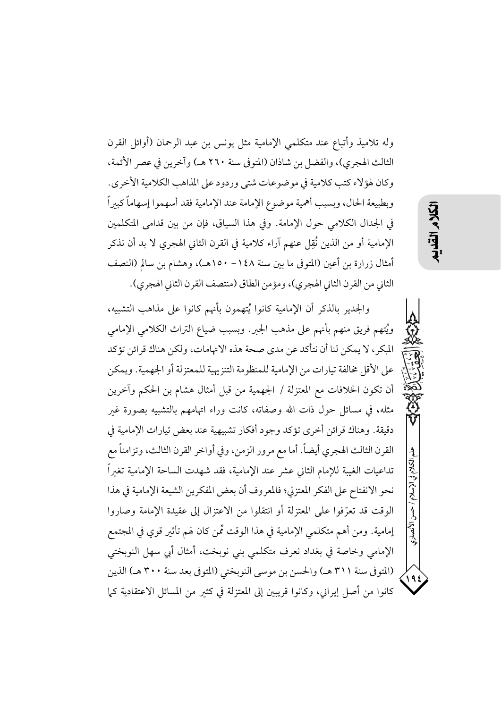وله تلاميذ وأتباع عند متكلمي الإمامية مثل يونس بن عبد الرحمان (أوائل القرن الثالث الهجري)، والفضل بن شاذان (المتوفى سنة ٢٦٠ هـ) وآخرين في عصر الأئمة، وكان لهؤلاء كتب كلامية في موضوعات شتى وردود على المذاهب الكلامية الأخرى. وبطبيعة الحال، وبسبب أهمية موضوع الإمامة عند الإمامية فقد أسهموا إسهاماً كبيراً في الجدال الكلامي حول الإمامة. وفي هذا السياق، فإن من بين قدامي المتكلمين الإمامية أو من الذين نُقِل عنهم آراء كلامية في القرن الثاني الهجري لا بد أن نذكر أمثال زرارة بن أعين (المتوفى ما بين سنة ١٤٨ – ١٥٠هـ)، وهشام بن سالم (النصف الثاني من القرن الثاني الهجري)، ومؤمن الطاق (منتصف القرن الثاني الهجري).

والجدير بالذكر أن الإمامية كانوا يُتهمون بأنهم كانوا على مذاهب التشبيه، ويُتهم فريق منهم بأنهم على مذهب الجبر. وبسبب ضياع التراث الكلامي الإمامي المبكر، لا يمكن لنا أن نتأكد عن مدى صحة هذه الاتهامات، ولكن هناك قرائن تؤكد على الأقل مخالفة تيارات من الإمامية للمنظومة التنزيهية للمعتزلة أو الجهمية. ويمكن أن تكون الخلافات مع المعتزلة / الجهمية من قبل أمثال هشام بن الحكم وآخرين مثله، في مسائل حول ذات الله وصفاته، كانت وراء اتهامهم بالتشبيه بصورة غبر دقيقة. وهناك قرائن أخرى تؤكد وجود أفكار تشبيهية عند بعض تيارات الإمامية في القرن الثالث الهجري أيضاً. أما مع مرور الزمن، وفي أواخر القرن الثالث، وتزامناً مع تداعيات الغيبة للإمام الثاني عشر عند الإمامية، فقد شهدت الساحة الإمامية تغيراً نحو الانفتاح على الفكر المعتزلي؛ فالمعروف أن بعض المفكرين الشيعة الإمامية في هذا الوقت قد تعرّفوا على المعتزلة أو انتقلوا من الاعتزال إلى عقيدة الإمامة وصاروا إمامية. ومن أهم متكلمي الإمامية في هذا الوقت تِّمن كان لهم تأثير قوي في المجتمع الإمامي وخاصة في بغداد نعرف متكلمي بني نوبخت، أمثال أبي سهل النوبختي (المتوفى سنة ٣١١ هـ) والحسن بن موسى النوبختي (المتوفى بعد سنة ٣٠٠ هـ) الذين كانوا من أصل إيراني، وكانوا قريبين إلى المعتزلة في كثير من المسائل الاعتقادية كما

الأنصارى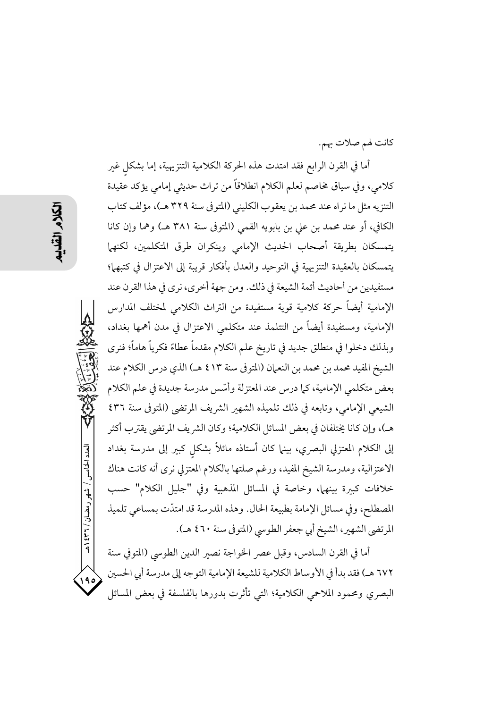كانت لهم صلات بهم.

أما في القرن الرابع فقد امتدت هذه الحركة الكلامية التنزيهية، إما بشكل غير كلامي، وفي سياق مخاصم لعلم الكلام انطلاقاً من تراث حديثي إمامي يؤكد عقيدة التنزيه مثل ما نراه عند محمد بن يعقوب الكليني (المتوفى سنة ٣٢٩ هـ)، مؤلف كتاب الكافي، أو عند محمد بن علي بن بابويه القمي (المتوفى سنة ٣٨١ هـ) وهما وإن كانا يتمسكان بطريقة أصحاب الحديث الإمامى وينكران طرق المتكلمين، لكنهما يتمسكان بالعقيدة التنزيهية في التوحيد والعدل بأفكار قريبة إلى الاعتزال في كتبهما؛ مستفيدين من أحاديث أئمة الشيعة في ذلك. ومن جهة أخرى، نرى في هذا القرن عند الإمامية أيضاً حركة كلامية قوية مستفيدة من التراث الكلامي لمختلف المدارس الإمامية، ومستفيدة أيضاً من التتلمذ عند متكلمي الاعتزال في مدن أهمها بغداد، وبذلك دخلوا في منطلق جديد في تاريخ علم الكلام مقدماً عطاءً فكرياً هاماً؛ فنرى الشيخ المفيد محمد بن محمد بن النعمان (المتوفى سنة ٤١٣ هـ) الذي درس الكلام عند بعض متكلمي الإمامية، كما درس عند المعتزلة وأسّس مدرسة جديدة في علم الكلام الشيعي الإمامي، وتابعه في ذلك تلميذه الشهير الشريف المرتضى (المتوفى سنة ٤٣٦ هـ)، وإن كانا يختلفان في بعض المسائل الكلامية؛ وكان الشريف المرتضى يقترب أكثر إلى الكلام المعتزلي البصري، بينها كان أستاذه مائلاً بشكل كبير إلى مدرسة بغداد الاعتزالية، ومدرسة الشيخ المفيد، ورغم صلتها بالكلام المعتزلي نرى أنه كانت هناك خلافات كبيرة بينهما، وخاصة في المسائل المذهبية وفي "جليل الكلام" حسب المصطلح، وفي مسائل الإمامة بطبيعة الحال. وهذه المدرسة قد امتدَّت بمساعى تلميذ المرتضى الشهير، الشيخ أبي جعفر الطوسي (المتوفي سنة ٤٦٠ هـ).

أما في القرن السادس، وقبل عصر الخواجة نصير الدين الطوسي (المتوفي سنة ٦٧٢ هـ) فقد بدأ في الأوساط الكلامية للشيعة الإمامية التوجه إلى مدرسة أبي الحسين  $\sqrt{9}$ البصري ومحمود الملاحمي الكلامية؛ التي تأثرت بدورها بالفلسفة في بعض المسائل

العدد الخامس / شهر رمضان / ۲۳۶ هـ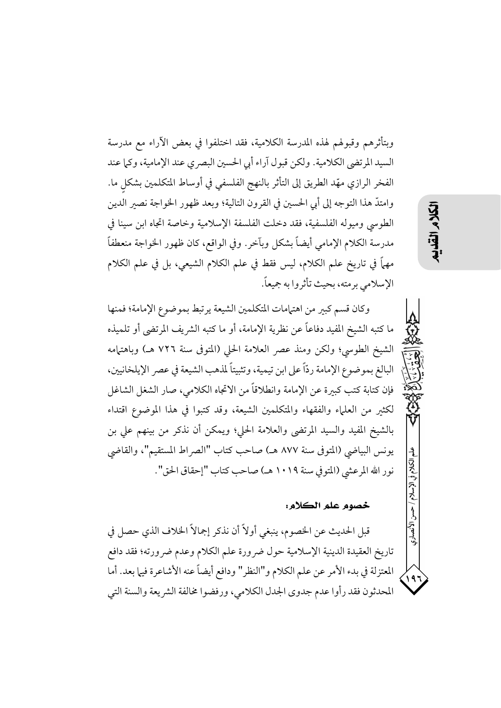وبتأثرهم وقبولهم لهذه المدرسة الكلامية، فقد اختلفوا في بعض الآراء مع مدرسة السيد المرتضى الكلامية. ولكن قبول آراء أبي الحسين البصري عند الإمامية، وكما عند الفخر الرازي مهَّد الطريق إلى التأثر بالنهج الفلسفي في أوساط المتكلمين بشكل ما. وامتدَّ هذا التوجه إلى أبي الحسين في القرون التالية؛ وبعد ظهور الخواجة نصير الدين الطوسي وميوله الفلسفية، فقد دخلت الفلسفة الإسلامية وخاصة اتجاه ابن سينا في مدرسة الكلام الإمامي أيضاً بشكل وبآخر . وفي الواقع، كان ظهور الخواجة منعطفاً مههاً في تاريخ علم الكلام، ليس فقط في علم الكلام الشيعي، بل في علم الكلام الإسلامي برمته، بحيث تأثروا به جميعاً.

وكان قسم كبير من اهتمامات المتكلمين الشيعة يرتبط بموضوع الإمامة؛ فمنها ما كتبه الشيخ المفيد دفاعاً عن نظرية الإمامة، أو ما كتبه الشريف المرتضى أو تلميذه الشيخ الطوسي؛ ولكن ومنذ عصر العلامة الحلي (المتوفى سنة ٧٢٦ هـ) وباهتمامه البالغ بموضوع الإمامة ردّاً على ابن تيمية، وتثبيتاً لمذهب الشيعة في عصر الإيلخانيين، فإن كتابة كتب كبيرة عن الإمامة وانطلاقاً من الاتجاه الكلامي، صار الشغل الشاغل لكثير من العلياء والفقهاء والمتكلمين الشيعة، وقد كتبوا في هذا الموضوع اقتداء بالشيخ المفيد والسيد المرتضى والعلامة الحلي؛ ويمكن أن نذكر من بينهم على بن يونس البياضي (المتوفى سنة ٨٧٧ هـ) صاحب كتاب "الصراط المستقيم"، والقاضي نور الله المرعشي (المتوفي سنة ١٠١٩ هـ) صاحب كتاب "إحقاق الحق".

خصوم علم الكلام:

قبل الحديث عن الخصوم، ينبغي أولاً أن نذكر إجمالاً الخلاف الذي حصل في تاريخ العقيدة الدينية الإسلامية حول ضرورة علم الكلام وعدم ضرورته؛ فقد دافع المعتزلة في بدء الأمر عن علم الكلام و"النظر" ودافع أيضاً عنه الأشاعرة فيها بعد. أما المحدثون فقد رأوا عدم جدوى الجدل الكلامي، ورفضوا مخالفة الشريعة والسنة التي こく

۱۹۶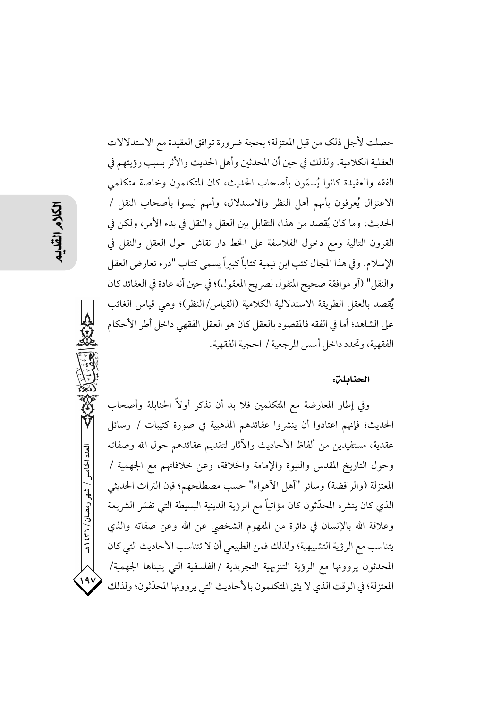حصلت لأجل ذلك من قبل المعتزلة؛ بحجة ضر ورة توافق العقيدة مع الاستدلالات العقلية الكلامية. ولذلك في حين أن المحدثين وأهل الحديث والأثر بسبب رؤيتهم في الفقه والعقيدة كانوا يُسمّون بأصحاب الحديث، كان المتكلمون وخاصة متكلمي الاعتزال يُعرفون بأنهم أهل النظر والاستدلال، وأنهم ليسوا بأصحاب النقل / الحديث، وما كان يُقصد من هذا، التقابل بين العقل والنقل في بدء الأمر، ولكن في القرون التالية ومع دخول الفلاسفة على الخط دار نقاش حول العقل والنقل في الإسلام. وفي هذا المجال كتب ابن تيمية كتاباً كبيراً يسمى كتاب "درء تعارض العقل والنقل" (أو موافقة صحيح المنقول لصريح المعقول)؛ في حين أنه عادة في العقائد كان يٌقصد بالعقل الطريقة الاستدلالية الكلامية (القياس/النظر)؛ وهي قياس الغائب على الشاهد؛ أما في الفقه فالمقصود بالعقل كان هو العقل الفقهي داخل أطر الأحكام الفقهية، وتحدد داخل أسس المرجعية / الحجية الفقهية.

### الحنابلن:

وفي إطار المعارضة مع المتكلمين فلا بد أن نذكر أولاً الحنابلة وأصحاب الحديث؛ فإنهم اعتادوا أن ينشروا عقائدهم المذهبية في صورة كتيبات / رسائل عقدية، مستفيدين من ألفاظ الأحاديث والآثار لتقديم عقائدهم حول الله وصفاته وحول التاريخ المقدس والنبوة والإمامة والخلافة، وعن خلافاتهم مع الجهمية / المعتزلة (والرافضة) وسائر "أهل الأهواء" حسب مصطلحهم؛ فإن التراث الحديثي الذي كان ينشره المحدِّثون كان مؤاتياً مع الرؤية الدينية البسيطة التي تفسَّر الشريعة وعلاقة الله بالإنسان في دائرة من المفهوم الشخصي عن الله وعن صفاته والذي يتناسب مع الرؤية التشبيهية؛ ولذلك فمن الطبيعي أن لا تتناسب الأحاديث التي كان المحدثون يروونها مع الرؤية التنزيهية التجريدية /الفلسفية التي يتبناها الجهمية/ المعتزلة؛ في الوقت الذي لا يثق المتكلمون بالأحاديث التي يروونها المحدِّثون؛ ولذلك

العدد الخامس / شهر رمضان / ۲۳۱ ه

191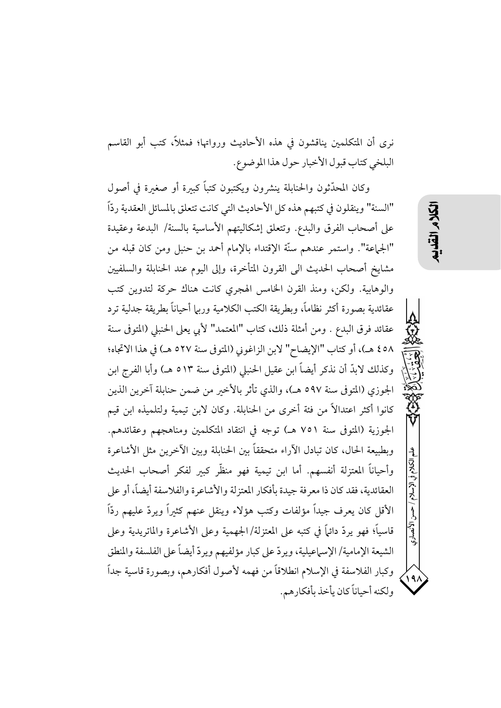نرى أن المتكلمين يناقشون في هذه الأحاديث ورواتها؛ فمثلاً، كتب أبو القاسم البلخي كتاب قبول الأخبار حول هذا الموضوع.

وكان المحدَّثون والحنابلة ينشرون ويكتبون كتباً كبيرة أو صغىرة في أصول "السنة" وينقلون في كتبهم هذه كل الأحاديث التي كانت تتعلق بالمسائل العقدية ردّاً على أصحاب الفرق والبدع. وتتعلق إشكاليتهم الأساسية بالسنة/ البدعة وعقيدة "الجماعة". واستمر عندهم سنَّة الإقتداء بالإمام أحمد بن حنبل ومن كان قبله من مشايخ أصحاب الحديث الى القرون المتأخرة، وإلى اليوم عند الحنابلة والسلفيين والوهابية. ولكن، ومنذ القرن الخامس الهجري كانت هناك حركة لتدوين كتب عقائدية بصورة أكثر نظاماً، وبطريقة الكتب الكلامية وربيا أحياناً بطريقة جدلية ترد عقائد فرق البدع . ومن أمثلة ذلك، كتاب "المعتمد" لأبي يعلى الحنبلي (المتوفي سنة ٥٨ ٤ هـ)، أو كتاب "الإيضاح" لابن الزاغوني (المتوفي سنة ٥٢٧ هـ) في هذا الاتجاه؛ وكذلك لابدِّ أن نذكر أيضاً ابن عقيل الحنبلي (المتوفى سنة ٥١٣ هـ) وأبا الفرج ابن الجوزي (المتوفى سنة ٥٩٧ هـ)، والذي تأثر بالأخبر من ضمن حنابلة آخرين الذين كانوا أكثر اعتدالاً من فئة أخرى من الحنابلة. وكان لابن تيمية ولتلميذه ابن قيم الجوزية (المتوفى سنة ٧٥١ هـ) توجه في انتقاد المتكلمين ومناهجهم وعقائدهم. وبطبيعة الحال، كان تبادل الأراء متحققاً بين الحنابلة وبين الأخرين مثل الأشاعرة وأحياناً المعتزلة أنفسهم. أما ابن تيمية فهو منظَّر كبير لفكر أصحاب الحديث العقائدية، فقد كان ذا معرفة جيدة بأفكار المعتزلة والأشاعرة والفلاسفة أيضاً، أو على الأقل كان يعرف جيداً مؤلفات وكتب هؤلاء وينقل عنهم كثيراً ويردّ عليهم ردّاً قاسياً؛ فهو يردِّ دائماً في كتبه على المعتزلة/الجهمية وعلى الأشاعرة والماتريدية وعلى الشيعة الإمامية/ الإسماعيلية، ويردّ على كبار مؤلفيهم ويردّ أيضاً على الفلسفة والمنطق وكبار الفلاسفة في الإسلام انطلاقاً من فهمه لأصول أفكارهم، وبصورة قاسية جداً ولكنه أحياناً كان بأخذ بأفكار هم.

ِ الأنصارى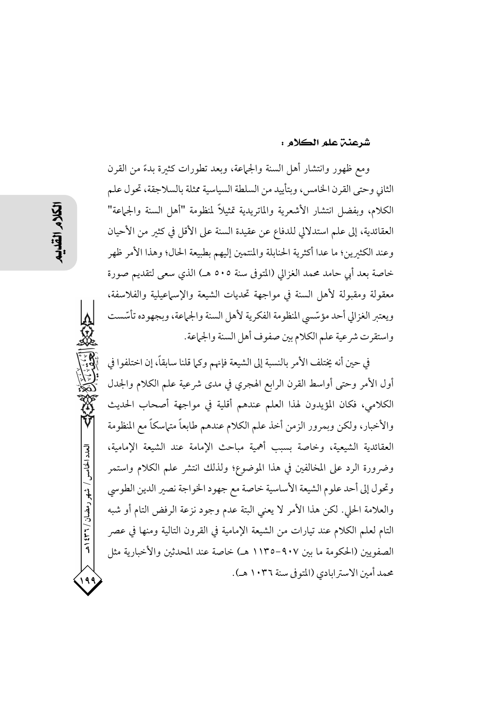### شرعنن علم الكلام :

ومع ظهور وانتشار أهل السنة والجماعة، وبعد تطورات كثيرة بدءً من القرن الثاني وحتى القرن الخامس، وبتأييد من السلطة السياسية ممثلة بالسلاجقة، تحول علم الكلام، وبفضل انتشار الأشعرية والماتريدية تمثيلاً لمنظومة "أهل السنة والجماعة" العقائدية، إلى علم استدلالي للدفاع عن عقيدة السنة على الأقل في كثير من الأحيان وعند الكثيرين؛ ما عدا أكثرية الحنابلة والمنتمين إليهم بطبيعة الحال؛ وهذا الأمر ظهر خاصة بعد أبي حامد محمد الغزالي (المتوفى سنة ٥٠٥ هـ) الذي سعى لتقديم صورة معقولة ومقبولة لأهل السنة في مواجهة تحديات الشيعة والإسماعيلية والفلاسفة، ويعتبر الغزالي أحد مؤسّسي المنظومة الفكرية لأهل السنة والجماعة، وبجهوده تأسّست واستقرت شرعية علم الكلام بين صفوف أهل السنة والجماعة.

في حين أنه يختلف الأمر بالنسبة إلى الشيعة فإنهم وكما قلنا سابقاً، إن اختلفوا في أول الأمر وحتى أواسط القرن الرابع الهجري في مدى شرعية علم الكلام والجدل الكلامي، فكان المؤيدون لهذا العلم عندهم أقلية في مواجهة أصحاب الحديث والأخبار، ولكن وبمرور الزمن أخذ علم الكلام عندهم طابعاً متهاسكاً مع المنظومة العقائدية الشيعية، وخاصة بسبب أهمية مباحث الإمامة عند الشيعة الإمامية، وضرورة الرد على المخالفين في هذا الموضوع؛ ولذلك انتشر علم الكلام واستمر وتحول إلى أحد علوم الشيعة الأساسية خاصة مع جهود الخواجة نصير الدين الطوسي والعلامة الحلي. لكن هذا الأمر لا يعني البتة عدم وجود نزعة الرفض التام أو شبه التام لعلم الكلام عند تيارات من الشيعة الإمامية في القرون التالية ومنها في عصر الصفويين (الحكومة ما بين ٩٠٧ –١١٣٥ هـ) خاصة عند المحدثين والأخبارية مثل محمد أمين الاسترابادي (المتوفى سنة ١٠٣٦ هـ).

العدد الخامس / شهر رمضان / ۲۳۱ ه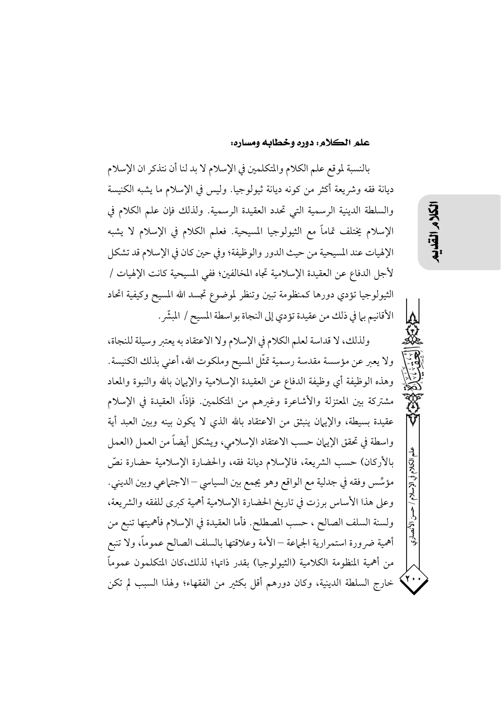### علم الكلام: دوره وخطابه ومساره:

بالنسبة لموقع علم الكلام والمتكلمين في الإسلام لا بد لنا أن نتذكر ان الإسلام ديانة فقه وشريعة أكثر من كونه ديانة ثيولوجيا. وليس في الإسلام ما يشبه الكنيسة والسلطة الدينية الرسمية التي تحدد العقيدة الرسمية. ولذلك فإن علم الكلام في الإسلام يختلف تماماً مع الثيولوجيا المسيحية. فعلم الكلام في الإسلام لا يشبه الإلهيات عند المسيحية من حيث الدور والوظيفة؛ وفي حين كان في الإسلام قد تشكل لأجل الدفاع عن العقيدة الإسلامية تجاه المخالفين؛ ففي المسيحية كانت الإلهيات / الثيولوجيا تؤدي دورها كمنظومة تبين وتنظر لموضوع تجسد الله المسيح وكيفية اتحاد الأقانيم بها في ذلك من عقيدة تؤدي إلى النجاة بواسطة المسيح / المبشَّر .

ولذلك، لا قداسة لعلم الكلام في الإسلام ولا الاعتقاد به يعتبر وسيلة للنجاة، ولا يعبر عن مؤسسة مقدسة رسمية تمثّل المسيح وملكوت الله، أعنى بذلك الكنيسة. وهذه الوظيفة أي وظيفة الدفاع عن العقيدة الإسلامية والإيهان بالله والنبوة والمعاد مشتركة بين المعتزلة والأشاعرة وغبرهم من المتكلمين. فإذاً، العقيدة في الإسلام عقيدة بسيطة، والإيهان ينبثق من الاعتقاد بالله الذي لا يكون بينه وبين العبد أية واسطة في تحقق الإيبان حسب الاعتقاد الإسلامي، ويشكل أيضاً من العمل (العمل بالأركان) حسب الشريعة، فالإسلام ديانة فقه، والحضارة الإسلامية حضارة نصَّ مؤسِّس وفقه في جدلية مع الواقع وهو يجمع بين السياسي – الاجتماعي وبين الديني. وعلى هذا الأساس برزت في تاريخ الحضارة الإسلامية أهمية كبرى للفقه والشريعة، ولسنة السلف الصالح ، حسب المصطلح. فأما العقيدة في الإسلام فأهميتها تنبع من أهمية ضرورة استمرارية الجماعة — الأمة وعلاقتها بالسلف الصالح عموماً، ولا تنبع من أهمية المنظومة الكلامية (الثيولوجيا) بقدر ذاتها؛ لذلك،كان المتكلمون عموماً خارج السلطة الدينية، وكان دورهم أقل بكثير من الفقهاء؛ ولهذا السبب لم تكن

/ حسن الأنصاري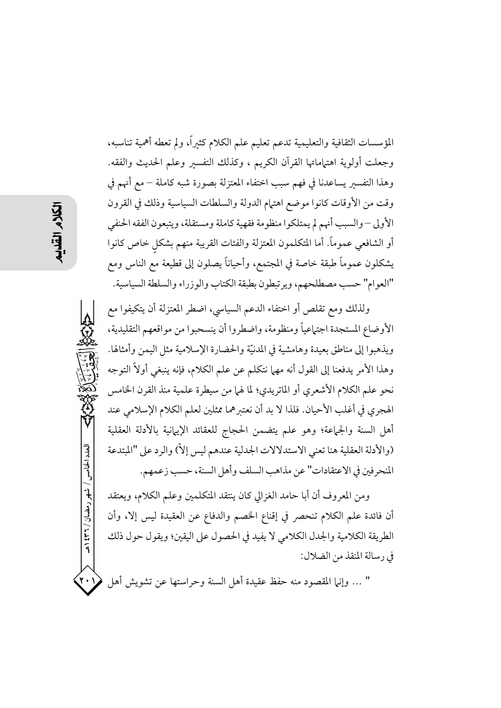المؤسسات الثقافية والتعليمية تدعم تعليم علم الكلام كثيراً، ولم تعطه أهمية تناسبه، وجعلت أولوية اهتهاماتها القرآن الكريم ، وكذلك التفسير وعلم الحديث والفقه. وهذا التفسير يساعدنا في فهم سبب اختفاء المعتزلة بصورة شبه كاملة – مع أنهم في وقت من الأوقات كانوا موضع اهتهام الدولة والسلطات السياسية وذلك في القرون الأولى – والسبب أنهم لم يمتلكوا منظومة فقهية كاملة ومستقلة، ويتبعون الفقه الحنفي أو الشافعي عموماً. أما المتكلمون المعتزلة والفئات القريبة منهم بشكل خاص كانوا يشكلون عموماً طبقة خاصة في المجتمع، وأحياناً يصلون إلى قطيعة مع الناس ومع "العوام" حسب مصطلحهم، ويرتبطون بطبقة الكتاب والوزراء والسلطة السياسية.

ولذلك ومع تقلص أو اختفاء الدعم السياسي، اضطر المعتزلة أن يتكيفوا مع الأوضاع المستجدة اجتهاعياً ومنظومة، واضطروا أن ينسحبوا من مواقعهم التقليدية، ويذهبوا إلى مناطق بعيدة وهامشية في المدنيّة والحضارة الإسلامية مثل اليمن وأمثالها. وهذا الأمر يدفعنا إلى القول أنه مهما نتكلم عن علم الكلام، فإنه ينبغي أولاً التوجه نحو علم الكلام الأشعري أو الماتريدي؛ لما لهما من سيطرة علمية منذ القرن الخامس الهجري في أغلب الأحيان. فلذا لا بد أن نعتبرهما ممثلين لعلم الكلام الإسلامي عند أهل السنة والجماعة؛ وهو علم يتضمن الحجاج للعقائد الإيهانية بالأدلة العقلية (والأدلة العقلية هنا تعني الاستدلالات الجدلية عندهم ليس إلاّ) والرد على "المبتدعة المنحرفين في الاعتقادات" عن مذاهب السلف وأهل السنة، حسب زعمهم.

ومن المعروف أن أبا حامد الغزالي كان ينتقد المتكلمين وعلم الكلام، ويعتقد أن فائدة علم الكلام تنحصر في إقناع الخصم والدفاع عن العقيدة ليس إلا، وأن الطريقة الكلامية والجدل الكلامي لا يفيد في الحصول على اليقين؛ ويقول حول ذلك في رسالة المنقذ من الضلال:

" … وإنها المقصود منه حفظ عقيدة أهل السنة وحراستها عن تشويش أهل

العدد الخامس / شهر رمضان / ۲۳۱ هـ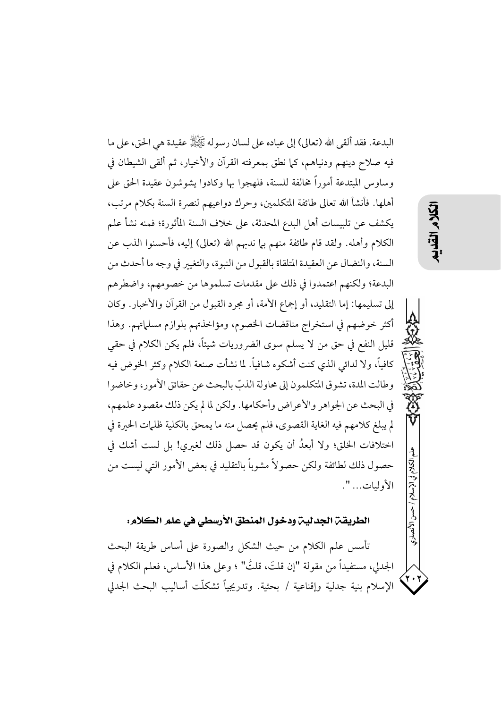البدعة. فقد ألقى الله (تعالى) إلى عباده على لسان رسو له ﷺ عقيدة هي الحق، على ما فيه صلاح دينهم ودنياهم، كما نطق بمعرفته القرآن والأخيار، ثم ألقى الشيطان في وساوس المبتدعة أموراً مخالفة للسنة، فلهجوا بها وكادوا يشوشون عقيدة الحق على أهلها. فأنشأ الله تعالى طائفة المتكلمين، وحرك دواعيهم لنصرة السنة بكلام مرتب، يكشف عن تلبيسات أهل البدع المحدثة، على خلاف السنة المأثورة؛ فمنه نشأ علم الكلام وأهله. ولقد قام طائفة منهم بيا ندبهم الله (تعالى) إليه، فأحسنوا الذب عن السنة، والنضال عن العقيدة المتلقاة بالقبول من النبوة، والتغيير في وجه ما أحدث من البدعة؛ ولكنهم اعتمدوا في ذلك على مقدمات تسلموها من خصومهم، واضطرهم إلى تسليمها: إما التقليد، أو إجماع الأمة، أو مجرد القبول من القرآن والأخبار. وكان أكثر خوضهم في استخراج مناقضات الخصوم، ومؤاخذتهم بلوازم مسلماتهم. وهذا قليل النفع في حق من لا يسلم سوى الضروريات شيئاً، فلم يكن الكلام في حقى كافياً، ولا لدائي الذي كنت أشكوه شافياً. لما نشأت صنعة الكلام وكثر الخوض فيه وطالت المدة، تشوق المتكلمون إلى محاولة الذبّ بالبحث عن حقائق الأمور، وخاضوا في البحث عن الجواهر والأعراض وأحكامها. ولكن لما لم يكن ذلك مقصود علمهم، لم يبلغ كلامهم فيه الغاية القصوى، فلم يحصل منه ما يمحق بالكلية ظلمات الحيرة في اختلافات الخلق؛ ولا أبعدُ أن يكون قد حصل ذلك لغيري! بل لست أشك في حصول ذلك لطائفة ولكن حصولاً مشوباً بالتقليد في بعض الأمور التي ليست من الأوليات... ".

حسبز الأنصاري

## الطريقة الجدلية ودخول المنطق الأرسطي في علم الكلام:

تأسس علم الكلام من حيث الشكل والصورة على أساس طريقة البحث الجدلي، مستفيداً من مقولة "إن قلتَ، قلتُ" ؛ وعلى هذا الأساس، فعلم الكلام في الإسلام بنية جدلية وإقناعية / بحثية. وتدريجياً تشكلَّت أساليب البحث الجدلي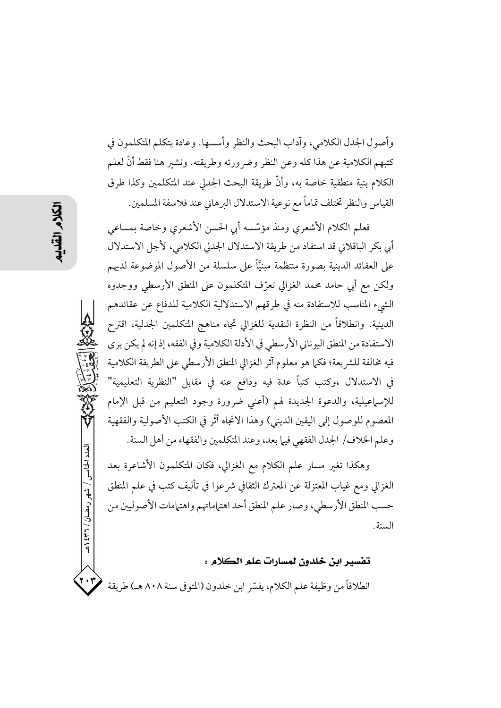وأصول الجدل الكلامي، وآداب البحث والنظر وأسسها. وعادة يتكلم المتكلمون في كتبهم الكلامية عن هذا كله وعن النظر وضرورته وطريقته. ونشير هنا فقط أنَّ لعلم الكلام بنية منطقية خاصة به، وأنَّ طريقة البحث الجدلي عند المتكلمين وكذا طرق القياس والنظر تختلف تماماً مع نوعية الاستدلال البرهاني عند فلاسفة المسلمين.

فعلم الكلام الأشعرى ومنذ مؤسّسه أبي الحسن الأشعرى وخاصة بمساعى أبي بكر الباقلاني قد استفاد من طريقة الاستدلال الجدلي الكلامي، لأجل الاستدلال على العقائد الدينية بصورة منتظمة مبنيًّا على سلسلة من الأصول الموضوعة لديهم ولكن مع أبي حامد محمد الغزالي تعرّف المتكلمون على المنطق الأرسطى ووجدوه الشيء المناسب للاستفادة منه في طرقهم الاستدلالية الكلامية للدفاع عن عقائدهم الدينية. وانطلاقاً من النظرة النقدية للغزالي تجاه مناهج المتكلمين الجدلية، اقترح الاستفادة من المنطق اليوناني الأرسطى في الأدلة الكلامية وفي الفقه، إذ إنه لم يكن يرى فيه مخالفة للشريعة؛ فكما هو معلوم آثر الغزالي المنطق الأرسطي على الطريقة الكلامية في الاستدلال ،وكتب كتباً عدة فيه ودافع عنه في مقابل "النظرية التعليمية" للإسهاعيلية، والدعوة الجديدة لهم (أعنى ضرورة وجود التعليم من قبل الإمام المعصوم للوصول إلى اليقين الديني) وهذا الاتجاه أثَّر في الكتب الأصولية والفقهية وعلم الخلاف/ الجدل الفقهي فيها بعد، وعند المتكلمين والفقهاء من أهل السنة.

وهكذا تغير مسار علم الكلام مع الغزالي، فكان المتكلمون الأشاعرة بعد الغزالي ومع غياب المعتزلة عن المعترك الثقافي شرعوا في تأليف كتب في علم المنطق حسب المنطق الأرسطي، وصار علم المنطق أحد اهتماماتهم واهتمامات الأصوليين من السنة.

### تفسير ابن خلدون لمسارات علم الكلام :

انطلاقاً من وظيفة علم الكلام، يفسِّر ابن خلدون (المتوفى سنة ٨٠٨ هـ) طريقة

العدد الخامس / شهر رمضان / ۲۳۶ هـ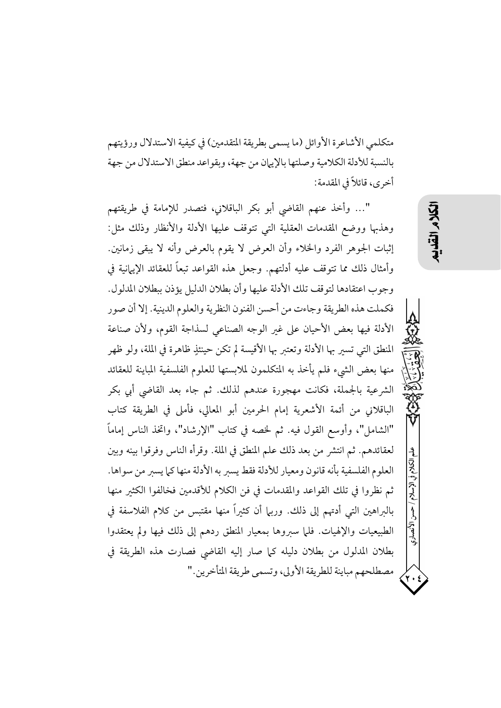متكلمي الأشاعرة الأوائل (ما يسمى بطريقة المتقدمين) في كيفية الاستدلال ورؤيتهم بالنسبة للأدلة الكلامية وصلتها بالإيهان من جهة، وبقواعد منطق الاستدلال من جهة أخرى، قائلاً في المقدمة:

"… وأخذ عنهم القاضي أبو بكر الباقلاني، فتصدر للإمامة في طريقتهم وهذبها ووضع المقدمات العقلية التي تتوقف عليها الأدلة والأنظار وذلك مثل: إثبات الجوهر الفرد والخلاء وأن العرض لا يقوم بالعرض وأنه لا يبقى زمانين. وأمثال ذلك مما تتوقف عليه أدلتهم. وجعل هذه القواعد تبعاً للعقائد الإيهانية في وجوب اعتقادها لتوقف تلك الأدلة عليها وأن بطلان الدليل يؤذن ببطلان المدلول. فكملت هذه الطريقة وجاءت من أحسن الفنون النظرية والعلوم الدينية. إلا أن صور الأدلة فيها بعض الأحيان على غير الوجه الصناعي لسذاجة القوم، ولأن صناعة المنطق التبي تسير بها الأدلة وتعتبر بها الأقيسة لم تكن حينئذٍ ظاهرة في الملة، ولو ظهر منها بعض الشيء فلم يأخذ به المتكلمون لملابستها للعلوم الفلسفية المباينة للعقائد الشرعية بالجملة، فكانت مهجورة عندهم لذلك. ثم جاء بعد القاضي أبي بكر الباقلاني من أئمة الأشعرية إمام الحرمين أبو المعالى، فأملى في الطريقة كتاب "الشامل"، وأوسع القول فيه. ثم لخصه في كتاب "الإرشاد"، واتخذ الناس إماماً لعقائدهم. ثم انتشر من بعد ذلك علم المنطق في الملة. وقرأه الناس وفرقوا بينه وبين العلوم الفلسفية بأنه قانون ومعيار للأدلة فقط يسبر به الأدلة منها كما يسبر من سواها. ثم نظروا في تلك القواعد والمقدمات في فن الكلام للأقدمين فخالفوا الكثير منها بالىراهين التي أدتهم إلى ذلك. وربيا أن كثيراً منها مقتبس من كلام الفلاسفة في الطبيعيات والإلهيات. فلما سبروها بمعيار المنطق ردهم إلى ذلك فيها ولم يعتقدوا بطلان المدلول من بطلان دليله كما صار إليه القاضي فصارت هذه الطريقة في مصطلحهم مباينة للطريقة الأولى، وتسمى طريقة المتأخرين."

الأنصارى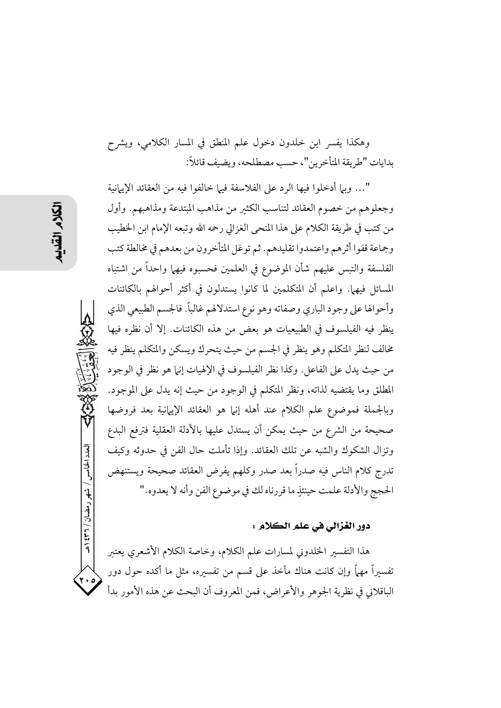وهكذا يفسر ابن خلدون دخول علم المنطق في المسار الكلامي، ويشرح بدايات "طريقة المتأخرين"، حسب مصطلحه، ويضيف قائلاً:

"… وبيا أدخلوا فيها الرد على الفلاسفة فيها خالفوا فيه من العقائد الإيبانية وجعلوهم من خصوم العقائد لتناسب الكثير من مذاهب المبتدعة ومذاهبهم. وأول من كتب في طريقة الكلام على هذا المنحى الغزالي رحمه الله وتبعه الإمام ابن الخطيب وجماعة قفوا أثرهم واعتمدوا تقليدهم. ثم توغل المتأخرون من بعدهم في مخالطة كتب الفلسفة والتبس عليهم شأن الموضوع في العلمين فحسبوه فيهما واحداً من اشتباه المسائل فيهما. واعلم أن المتكلمين لما كانوا يستدلون في أكثر أحوالهم بالكائنات وأحوالها على وجود الباري وصفاته وهو نوع استدلالهم غالباً. فالجسم الطبيعي الذي ينظر فيه الفيلسوف في الطبيعيات هو بعض من هذه الكائنات. إلا أن نظره فيها مخالف لنظر المتكلم وهو ينظر في الجسم من حيث يتحرك ويسكن والمتكلم ينظر فيه من حيث يدل على الفاعل. وكذا نظر الفيلسوف في الإلهيات إنها هو نظر في الوجود المطلق وما يقتضيه لذاته، ونظر المتكلم في الوجود من حيث إنه يدل على الموجود. وبالجملة فموضوع علم الكلام عند أهله إنيا هو العقائد الإيهانية بعد فروضها صحيحة من الشرع من حيث يمكن أن يستدل عليها بالأدلة العقلية فترفع البدع وتزال الشكوك والشبه عن تلك العقائد. وإذا تأملت حال الفن في حدوثه وكيف تدرج كلام الناس فيه صدراً بعد صدر وكلهم يفرض العقائد صحيحة ويستنهض الحجج والأدلة علمت حينئذٍ ما قررناه لك في موضوع الفن وأنه لا يعدوه."

### دور الغزالي في علم الكلام :

هذا التفسير الخلدوني لمسارات علم الكلام، وخاصة الكلام الأشعري يعتبر تفسیراً مهماً وإن كانت هناك مآخذ على قسم من تفسیره، مثل ما أكده حول دور الباقلاني في نظرية الجوهر والأعراض، فمن المعروف أن البحث عن هذه الأمور بدأ

العدد الخامس / شهر رمضان / ۳۲۱ هـ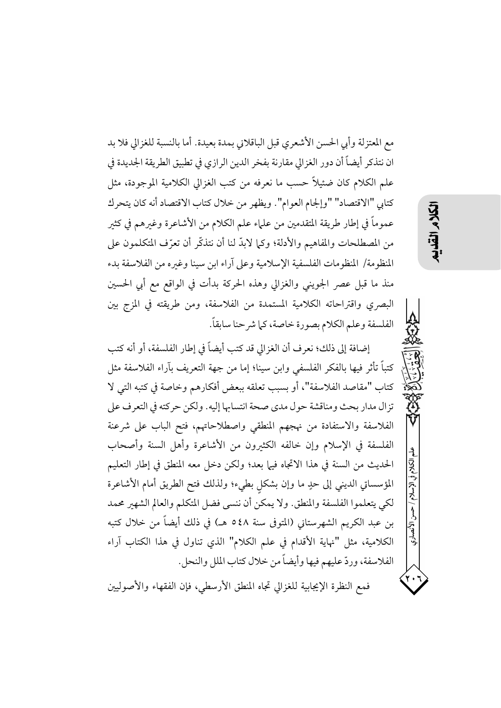مع المعتزلة وأبي الحسن الأشعري قبل الباقلاني بمدة بعيدة. أما بالنسبة للغزالي فلا بد ان نتذكر أيضاً أن دور الغزالي مقارنة بفخر الدين الرازي في تطبيق الطريقة الجديدة في علم الكلام كان ضئيلاً حسب ما نعرفه من كتب الغزالي الكلامية الموجودة، مثل كتابي "الاقتصاد" "وإلجام العوام". ويظهر من خلال كتاب الاقتصاد أنه كان يتحرك عموماً في إطار طريقة المتقدمين من علماء علم الكلام من الأشاعرة وغيرهم في كثير من المصطلحات والمفاهيم والأدلة؛ وكما لابدَّ لنا أن نتذكَّر أن تعرَّف المتكلمون على المنظومة/ المنظومات الفلسفية الإسلامية وعلى آراء ابن سينا وغيره من الفلاسفة بدء منذ ما قبل عصر الجويني والغزالي وهذه الحركة بدأت في الواقع مع أبي الحسين البصري واقتراحاته الكلامية المستمدة من الفلاسفة، ومن طريقته في المزج بين الفلسفة وعلم الكلام بصورة خاصة، كما شرحنا سابقاً.

以久

إضافة إلى ذلك؛ نعرف أن الغزالي قد كتب أيضاً في إطار الفلسفة، أو أنه كتب كتباً تأثر فيها بالفكر الفلسفي وابن سينا؛ إما من جهة التعريف بآراء الفلاسفة مثل كتاب "مقاصد الفلاسفة"، أو بسبب تعلقه ببعض أفكارهم وخاصة في كتبه التي لا تزال مدار بحث ومناقشة حول مدى صحة انتسابها إليه. ولكن حركته في التعرف على الفلاسفة والاستفادة من نهجهم المنطقى واصطلاحاتهم، فتح الباب على شرعنة الفلسفة في الإسلام وإن خالفه الكثيرون من الأشاعرة وأهل السنة وأصحاب الحديث من السنة في هذا الاتجاه فيها بعد؛ ولكن دخل معه المنطق في إطار التعليم المؤسساتي الديني إلى حدٍ ما وإن بشكلٍ بطيء؛ ولذلك فتح الطريق أمام الأشاعرة لكي يتعلموا الفلسفة والمنطق. ولا يمكن أن ننسى فضل المتكلم والعالم الشهير محمد بن عبد الكريم الشهرستاني (المتوفى سنة ٤٨٥ هـ) في ذلك أيضاً من خلال كتبه الكلامية، مثل "نهاية الأقدام في علم الكلام" الذي تناول في هذا الكتاب آراء الفلاسفة، وردِّ عليهم فيها وأيضاً من خلال كتاب الملل والنحل.

فمع النظرة الإيجابية للغزالي تجاه المنطق الأرسطي، فإن الفقهاء والأصوليين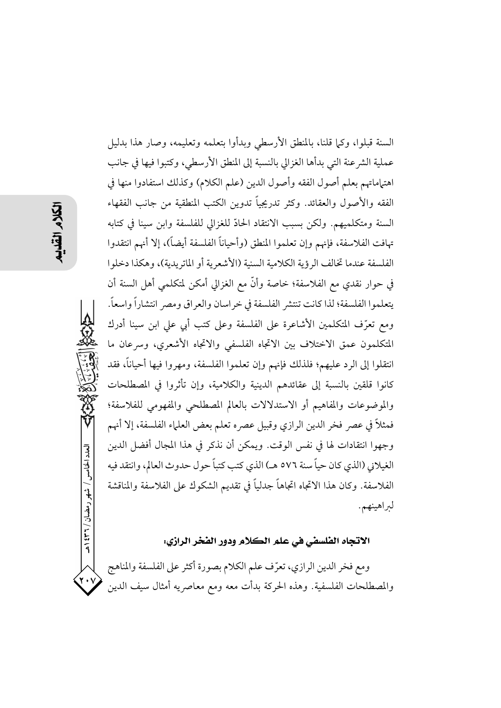العدد الخامس / شهر رمضان / ٣٦٦ هـ

السنة قبلوا، وكما قلنا، بالمنطق الأرسطي وبدأوا بتعلمه وتعليمه، وصار هذا بدليل عملية الشرعنة التي بدأها الغزالي بالنسبة إلى المنطق الأرسطى، وكتبوا فيها في جانب اهتهاماتهم بعلم أصول الفقه وأصول الدين (علم الكلام) وكذلك استفادوا منها في الفقه والأصول والعقائد. وكثر تدريجياً تدوين الكتب المنطقية من جانب الفقهاء السنة ومتكلميهم. ولكن بسبب الانتقاد الحادّ للغزالي للفلسفة وابن سينا في كتابه تهافت الفلاسفة، فإنهم وإن تعلموا المنطق (وأحياناً الفلسفة أيضاً)، إلا أنهم انتقدوا الفلسفة عندما تخالف الرؤية الكلامية السنية (الأشعرية أو الماتريدية)، وهكذا دخلوا في حوار نقدي مع الفلاسفة؛ خاصة وأنَّ مع الغزالي أمكن لمتكلمي أهل السنة أن يتعلموا الفلسفة؛ لذا كانت تنتشر الفلسفة في خراسان والعراق ومصر انتشاراً واسعاً. ومع تعرّف المتكلمين الأشاعرة على الفلسفة وعلى كتب أبي على ابن سينا أدرك المتكلمون عمق الاختلاف بين الاتجاه الفلسفى والاتجاه الأشعرى، وسرعان ما انتقلوا إلى الرد عليهم؛ فلذلك فإنهم وإن تعلموا الفلسفة، ومهروا فيها أحياناً، فقد كانوا قلقين بالنسبة إلى عقائدهم الدينية والكلامية، وإن تأثروا في المصطلحات والموضوعات والمفاهيم أو الاستدلالات بالعالم المصطلحي والمفهومي للفلاسفة؛ فمثلاً في عصر فخر الدين الرازي وقبيل عصره تعلم بعض العلماء الفلسفة، إلا أنهم وجهوا انتقادات لها في نفس الوقت. ويمكن أن نذكر في هذا المجال أفضل الدين الغيلاني (الذي كان حياً سنة ٥٧٦ هـ) الذي كتب كتباً حول حدوث العالم، وانتقد فيه الفلاسفة. وكان هذا الاتجاه اتجاهاً جدلياً في تقديم الشكوك على الفلاسفة والمناقشة لبراهينهم.

### الاتجاه الفلسفي في علم الكلام ودور الفخر الرازي:

ومع فخر الدين الرازي، تعرّف علم الكلام بصورة أكثر على الفلسفة والمناهج والمصطلحات الفلسفية. وهذه الحركة بدأت معه ومع معاصريه أمثال سيف الدين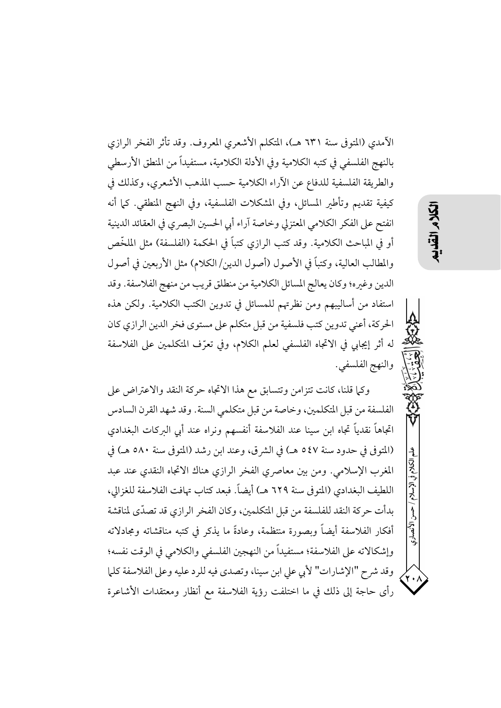الآمدي (المتوفى سنة ٦٣١ هـ)، المتكلم الأشعري المعروف. وقد تأثر الفخر الرازي بالنهج الفلسفي في كتبه الكلامية وفي الأدلة الكلامية، مستفيداً من المنطق الأرسطي والطريقة الفلسفية للدفاع عن الأراء الكلامية حسب المذهب الأشعري، وكذلك في كيفية تقديم وتأطير المسائل، وفي المشكلات الفلسفية، وفي النهج المنطقي. كما أنه انفتح على الفكر الكلامي المعتزلي وخاصة آراء أبي الحسين البصري في العقائد الدينية أو في المباحث الكلامية. وقد كتب الرازي كتباً في الحكمة (الفلسفة) مثل الملخَّص والمطالب العالية، وكتباً في الأصول (أصول الدين/الكلام) مثل الأربعين في أصول الدين وغيره؛ وكان يعالج المسائل الكلامية من منطلق قريب من منهج الفلاسفة. وقد استفاد من أساليبهم ومن نظرتهم للمسائل في تدوين الكتب الكلامية. ولكن هذه الحركة، أعني تدوين كتب فلسفية من قبل متكلم على مستوى فخر الدين الرازي كان له أثر إيجابي في الاتجاه الفلسفي لعلم الكلام، وفي تعرّف المتكلمين على الفلاسفة والنهج الفلسفي.

وكما قلنا، كانت تتزامن وتتسابق مع هذا الاتجاه حركة النقد والاعتراض على الفلسفة من قبل المتكلمين، وخاصة من قبل متكلمي السنة. وقد شهد القرن السادس اتجاهاً نقدياً تجاه ابن سينا عند الفلاسفة أنفسهم ونراه عند أبي البركات البغدادي (المتوفى في حدود سنة ٥٤٧ هـ) في الشرق، وعند ابن رشد (المتوفى سنة ٥٨٠ هـ) في المغرب الإسلامي. ومن بين معاصري الفخر الرازي هناك الاتجاه النقدي عند عبد اللطيف البغدادي (المتوفى سنة ٦٢٩ هـ) أيضاً. فبعد كتاب تهافت الفلاسفة للغزالي، بدأت حركة النقد للفلسفة من قبل المتكلمين، وكان الفخر الرازي قد تصدّى لمناقشة أفكار الفلاسفة أيضاً وبصورة منتظمة، وعادةً ما يذكر في كتبه مناقشاته ومجادلاته وإشكالاته على الفلاسفة؛ مستفيداً من النهجين الفلسفي والكلامي في الوقت نفسه؛ وقد شرح "الإشارات" لأبي علي ابن سينا، وتصدى فيه للرد عليه وعلى الفلاسفة كلما رأى حاجة إلى ذلك في ما اختلفت رؤية الفلاسفة مع أنظار ومعتقدات الأشاعرة

الأنصارى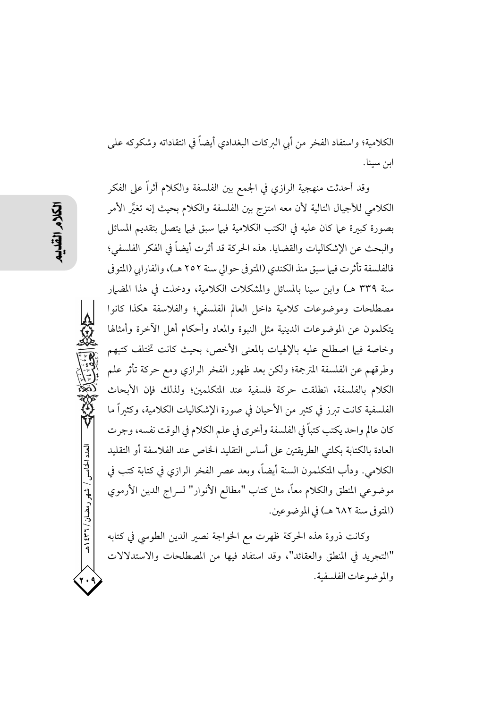العدد الخامس / شهر رمضان / ۳۲۱ هـ

الكلامية؛ واستفاد الفخر من أبي البركات البغدادي أيضاً في انتقاداته وشكوكه على ابن سينا.

وقد أحدثت منهجية الرازي في الجمع بين الفلسفة والكلام أثراً على الفكر الكلامي للأجيال التالية لأن معه امتزج بين الفلسفة والكلام بحيث إنه تغتَّر الأمر بصورة كبيرة عما كان عليه في الكتب الكلامية فيها سبق فيها يتصل بتقديم المسائل والبحث عن الإشكاليات والقضايا. هذه الحركة قد أثرت أيضاً في الفكر الفلسفي؛ فالفلسفة تأثرت فيها سبق منذ الكندي (المتوفى حوالي سنة ٢٥٢ هـ)، والفارابي (المتوفى سنة ٣٣٩ هـ) وابن سينا بالمسائل والمشكلات الكلامية، ودخلت في هذا المضيار مصطلحات وموضوعات كلامية داخل العالم الفلسفي؛ والفلاسفة هكذا كانوا يتكلمون عن الموضوعات الدينية مثل النبوة والمعاد وأحكام أهل الآخرة وأمثالها وخاصة فيها اصطلح عليه بالإلهيات بالمعنى الأخص، بحيث كانت تختلف كتبهم وطرقهم عن الفلسفة المترجمة؛ ولكن بعد ظهور الفخر الرازي ومع حركة تأثر علم الكلام بالفلسفة، انطلقت حركة فلسفية عند المتكلمين؛ ولذلك فإن الأبحاث الفلسفية كانت تبرز في كثير من الأحيان في صورة الإشكاليات الكلامية، وكثيراً ما كان عالم واحد يكتب كتباً في الفلسفة وأخرى في علم الكلام في الوقت نفسه، وجرت العادة بالكتابة بكلتي الطريقتين على أساس التقليد الخاص عند الفلاسفة أو التقليد الكلامي. ودأب المتكلمون السنة أيضاً، وبعد عصر الفخر الرازي في كتابة كتب في موضوعي المنطق والكلام معاً، مثل كتاب "مطالع الأنوار" لسراج الدين الأرموي (المتوفى سنة ٦٨٢ هـ) في الموضوعين.

وكانت ذروة هذه الحركة ظهرت مع الخواجة نصير الدين الطوسي في كتابه "التجريد في المنطق والعقائد"، وقد استفاد فيها من المصطلحات والاستدلالات والموضوعات الفلسفية.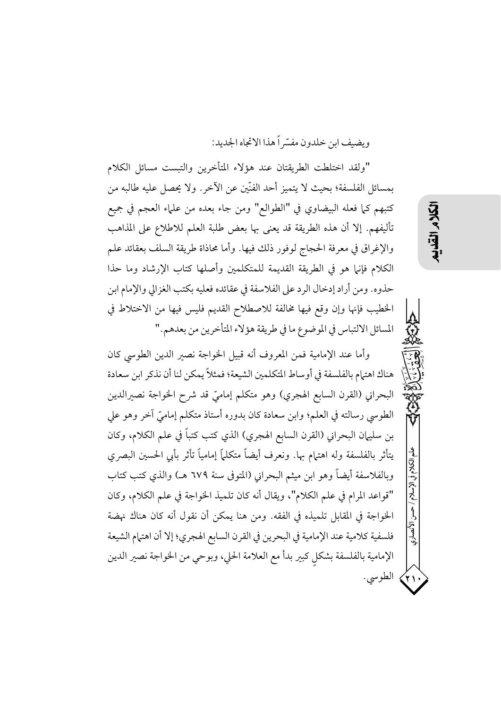ويضيف ابن خلدون مفسّر أهذا الاتجاه الجديد:

"ولقد اختلطت الطريقتان عند هؤلاء المتأخرين والتبست مسائل الكلام بمسائل الفلسفة؛ بحيث لا يتميز أحد الفنّين عن الآخر . ولا يحصل عليه طالبه من كتبهم كما فعله البيضاوي في "الطوالع" ومن جاء بعده من علماء العجم في جميع تأليفهم. إلا أن هذه الطريقة قد يعني بها بعض طلبة العلم للاطلاع على المذاهب والإغراق في معرفة الحجاج لوفور ذلك فيها. وأما محاذاة طريقة السلف بعقائد علم الكلام فإنها هو في الطريقة القديمة للمتكلمين وأصلها كتاب الإرشاد وما حذا حذوه. ومن أراد إدخال الرد على الفلاسفة في عقائده فعليه بكتب الغزالي والإمام ابن الخطيب فإنها وإن وقع فيها مخالفة للاصطلاح القديم فليس فيها من الاختلاط في المسائل الالتباس في الموضوع ما في طريقة هؤلاء المتأخرين من بعدهم."

وأما عند الإمامية فمن المعروف أنه قبيل الخواجة نصير الدين الطوسي كان هناك اهتمام بالفلسفة في أوساط المتكلمين الشيعة؛ فمثلاً يمكن لنا أن نذكر ابن سعادة البحراني (القرن السابع الهجري) وهو متكلم إماميّ قد شرح الخواجة نصيرالدين الطوسي رسالته في العلم؛ وابن سعادة كان بدوره أستاذ متكلم إماميّ آخر وهو على بن سليهان البحراني (القرن السابع الهجري) الذي كتب كتباً في علم الكلام، وكان يتأثر بالفلسفة وله اهتهام بها. ونعرف أيضاً متكلماً إمامياً تأثر بأبي الحسين البصري وبالفلاسفة أيضاً وهو ابن ميثم البحراني (المتوفى سنة ٦٧٩ هـ) والذي كتب كتاب "قواعد المرام في علم الكلام"، ويقال أنه كان تلميذ الخواجة في علم الكلام، وكان الخواجة في المقابل تلميذه في الفقه. ومن هنا يمكن أن نقول أنه كان هناك نهضة فلسفية كلامية عند الإمامية في البحرين في القرن السابع الهجري؛ إلا أن اهتمام الشيعة الإمامية بالفلسفة بشكل كبير بدأ مع العلامة الحلي، وبوحي من الخواجة نصير الدين ٢١) الطوسي.

الأنصارى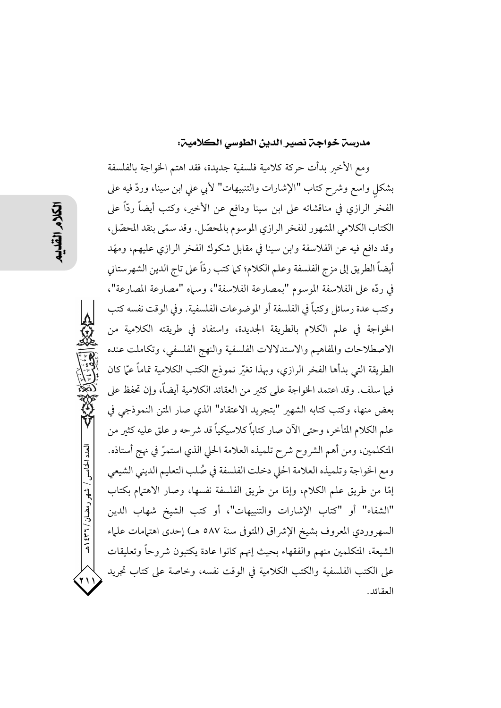### مدرسن خواجن نصير الدين الطوسي الكلامين:

ومع الأخير بدأت حركة كلامية فلسفية جديدة، فقد اهتم الخواجة بالفلسفة بشكل واسع وشرح كتاب "الإشارات والتنبيهات" لأبي علي ابن سينا، وردّ فيه على الفخر الرازي في مناقشاته على ابن سينا ودافع عن الأخير، وكتب أيضاً ردّاً على الكتاب الكلامي المشهور للفخر الرازي الموسوم بالمحصّل. وقد سمّى بنقد المحصّل، وقد دافع فيه عن الفلاسفة وابن سينا في مقابل شكوك الفخر الرازي عليهم، ومهّد أيضاً الطريق إلى مزج الفلسفة وعلم الكلام؛ كما كتب ردّاً على تاج الدين الشهرستاني في ردِّه على الفلاسفة الموسوم "بمصارعة الفلاسفة"، وسماه "مصارعة المصارعة"، وكتب عدة رسائل وكتباً في الفلسفة أو الموضوعات الفلسفية. وفي الوقت نفسه كتب الخواجة في علم الكلام بالطريقة الجديدة، واستفاد في طريقته الكلامية من الاصطلاحات والمفاهيم والاستدلالات الفلسفية والنهج الفلسفي، وتكاملت عنده الطريقة التي بدأها الفخر الرازي، وبهذا تغيّر نموذج الكتب الكلامية تماماً عيّا كان فيها سلف. وقد اعتمد الخواجة على كثير من العقائد الكلامية أيضاً، وإن تحفظ على بعض منها، وكتب كتابه الشهير "بتجريد الاعتقاد" الذي صار المتن النموذجي في علم الكلام المتأخر، وحتى الآن صار كتاباً كلاسيكياً قد شرحه و علق عليه كثير من المتكلمين، ومن أهم الشروح شرح تلميذه العلامة الحلي الذي استمرَّ في نهج أستاذه. ومع الخواجة وتلميذه العلامة الحلى دخلت الفلسفة في صُلب التعليم الديني الشيعي إمَّا من طريق علم الكلام، وإمَّا من طريق الفلسفة نفسها، وصار الاهتمام بكتاب "الشفاء" أو "كتاب الإشارات والتنبيهات"، أو كتب الشيخ شهاب الدين السهروردي المعروف بشيخ الإشراق (المتوفى سنة ٥٨٧ هـ) إحدى اهتمامات علماء الشيعة، المتكلمين منهم والفقهاء بحيث إنهم كانوا عادة يكتبون شروحاً وتعليقات على الكتب الفلسفية والكتب الكلامية في الوقت نفسه، وخاصة على كتاب تجريد العقائد.

العدد الخامس / شهر رمضان / ۲۳۱ هـ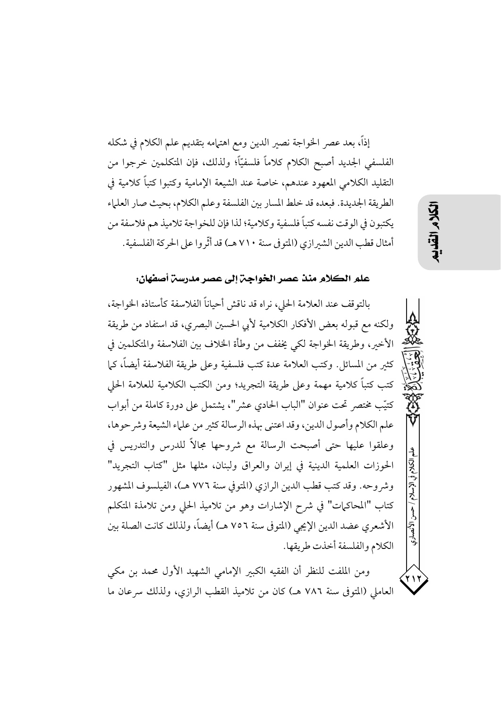إذاً، بعد عصر الخواجة نصير الدين ومع اهتهامه بتقديم علم الكلام في شكله الفلسفي الجديد أصبح الكلام كلاماً فلسفيّاً؛ ولذلك، فإن المتكلمين خرجوا من التقليد الكلامي المعهود عندهم، خاصة عند الشيعة الإمامية وكتبوا كتباً كلامية في الطريقة الجديدة. فبعده قد خلط المسار بين الفلسفة وعلم الكلام، بحيث صار العلماء يكتبون في الوقت نفسه كتباً فلسفية وكلامية؛ لذا فإن للخواجة تلاميذ هم فلاسفة من أمثال قطب الدين الشيرازي (المتو في سنة ٧١٠ هـ) قد أثَّر وا على الحركة الفلسفية.

### علم الكلام منذ عصر الخواجِن إلى عصر مدرسن أصفهان:

بالتوقف عند العلامة الحلي، نراه قد ناقش أحياناً الفلاسفة كأستاذه الخواجة، ولكنه مع قبوله بعض الأفكار الكلامية لأبي الحسين البصري، قد استفاد من طريقة الأخير، وطريقة الخواجة لكي يخفف من وطأة الخلاف بين الفلاسفة والمتكلمين في كثير من المسائل. وكتب العلامة عدة كتب فلسفية وعلى طريقة الفلاسفة أيضاً، كما كتب كتباً كلامية مهمة وعلى طريقة التجريد؛ ومن الكتب الكلامية للعلامة الحلي كتيّب مختصر تحت عنوان "الباب الحادي عشر"، يشتمل على دورة كاملة من أبواب علم الكلام وأصول الدين، وقد اعتنى بهذه الرسالة كثير من علياء الشيعة وشر حوها، وعلقوا عليها حتى أصبحت الرسالة مع شروحها مجالاً للدرس والتدريس في الحوزات العلمية الدينية في إيران والعراق ولبنان، مثلها مثل "كتاب التجريد" وشر وحه. وقد كتب قطب الدين الرازي (المتوفى سنة ٧٧٦ هـ)، الفيلسوف المشهور كتاب "المحاكمات" في شرح الإشارات وهو من تلاميذ الحلي ومن تلامذة المتكلم الأشعري عضد الدين الإيجي (المتوفى سنة ٧٥٦ هـ) أيضاً، ولذلك كانت الصلة بين الكلام والفلسفة أخذت طريقها.

ومن الملفت للنظر أن الفقيه الكبير الإمامي الشهيد الأول محمد بن مكي العاملي (المتوفى سنة ٧٨٦ هـ) كان من تلاميذ القطب الرازي، ولذلك سرعان ما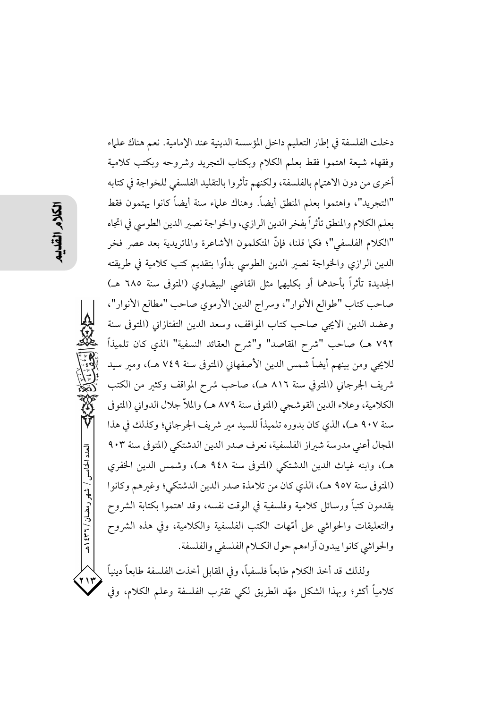العدد الخامس / شهر رمضان / ۳۲۱ هـ 7 I T

دخلت الفلسفة في إطار التعليم داخل المؤسسة الدينية عند الإمامية. نعم هناك علماء وفقهاء شيعة اهتموا فقط بعلم الكلام وبكتاب التجريد وشروحه وبكتب كلامية أخرى من دون الاهتهام بالفلسفة، ولكنهم تأثروا بالتقليد الفلسفي للخواجة في كتابه "التجريد"، واهتموا بعلم المنطق أيضاً. وهناك علياء سنة أيضاً كانوا يهتمون فقط بعلم الكلام والمنطق تأثراً بفخر الدين الرازي، والخواجة نصير الدين الطوسي في اتجاه "الكلام الفلسفي"؛ فكما قلنا، فإنَّ المتكلمون الأشاعرة والماتريدية بعد عصر فخر الدين الرازى والخواجة نصير الدين الطوسي بدأوا بتقديم كتب كلامية في طريقته الجديدة تأثراً بأحدهما أو بكليهها مثل القاضي البيضاوي (المتوفى سنة ٦٨٥ هـ) صاحب كتاب "طوالع الأنوار"، وسراج الدين الأرموي صاحب "مطالع الأنوار"، وعضد الدين الايجي صاحب كتاب المواقف، وسعد الدين التفتازاني (المتوفى سنة ٧٩٢ هـ) صاحب "شرح المقاصد" و"شرح العقائد النسفية" الذي كان تلميذاً للايجي ومن بينهم أيضاً شمس الدين الأصفهاني (المتوفي سنة ٧٤٩ هـ)، ومبر سيد شريف الجرجاني (المتوفى سنة ٨١٦ هـ)، صاحب شرح المواقف وكثير من الكتب الكلامية، وعلاء الدين القوشجي (المتوفي سنة ٨٧٩ هـ) والملاَّ جلال الدواني (المتوفي سنة ٩٠٧ هـ)، الذي كان بدوره تلميذاً للسيد مبر شريف الجرجاني؛ وكذلك في هذا المجال أعنى مدرسة شبراز الفلسفية، نعرف صدر الدين الدشتكي (المتوفى سنة ٩٠٣ هـ)، وابنه غياث الدين الدشتكي (المتوفى سنة ٩٤٨ هـ)، وشمس الدين الخفرى (المتوفى سنة ٩٥٧ هـ)، الذي كان من تلامذة صدر الدين الدشتكي؛ وغيرهم وكانوا يقدمون كتباً ورسائل كلامية وفلسفية في الوقت نفسه، وقد اهتموا بكتابة الشروح والتعليقات والحواشي على أمّهات الكتب الفلسفية والكلامية، وفي هذه الشروح والحواشي كانوا يبدون آراءهم حول الكلام الفلسفي والفلسفة.

ولذلك قد أخذ الكلام طابعاً فلسفياً، وفي المقابل أخذت الفلسفة طابعاً دينياً كلامياً أكثر؛ وبهذا الشكل مهَّد الطريق لكي تقترب الفلسفة وعلم الكلام، وفي